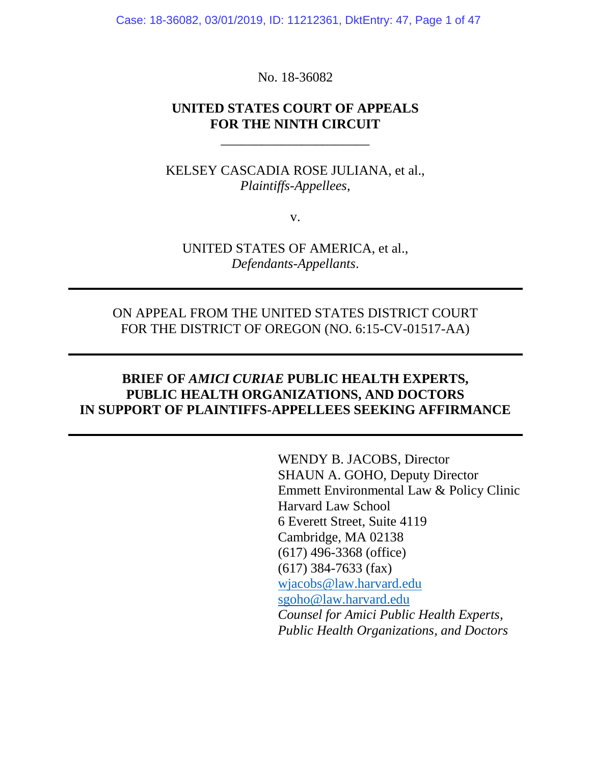Case: 18-36082, 03/01/2019, ID: 11212361, DktEntry: 47, Page 1 of 47

No. 18-36082

### **UNITED STATES COURT OF APPEALS FOR THE NINTH CIRCUIT**

\_\_\_\_\_\_\_\_\_\_\_\_\_\_\_\_\_\_\_\_\_\_

KELSEY CASCADIA ROSE JULIANA, et al., *Plaintiffs-Appellees*,

v.

UNITED STATES OF AMERICA, et al., *Defendants-Appellants*.

### ON APPEAL FROM THE UNITED STATES DISTRICT COURT FOR THE DISTRICT OF OREGON (NO. 6:15-CV-01517-AA)

## **BRIEF OF** *AMICI CURIAE* **PUBLIC HEALTH EXPERTS, PUBLIC HEALTH ORGANIZATIONS, AND DOCTORS IN SUPPORT OF PLAINTIFFS-APPELLEES SEEKING AFFIRMANCE**

WENDY B. JACOBS, Director SHAUN A. GOHO, Deputy Director Emmett Environmental Law & Policy Clinic Harvard Law School 6 Everett Street, Suite 4119 Cambridge, MA 02138 (617) 496-3368 (office) (617) 384-7633 (fax) [wjacobs@law.harvard.edu](mailto:wjacobs@law.harvard.edu) [sgoho@law.harvard.edu](mailto:sgoho@law.harvard.edu) *Counsel for Amici Public Health Experts, Public Health Organizations, and Doctors*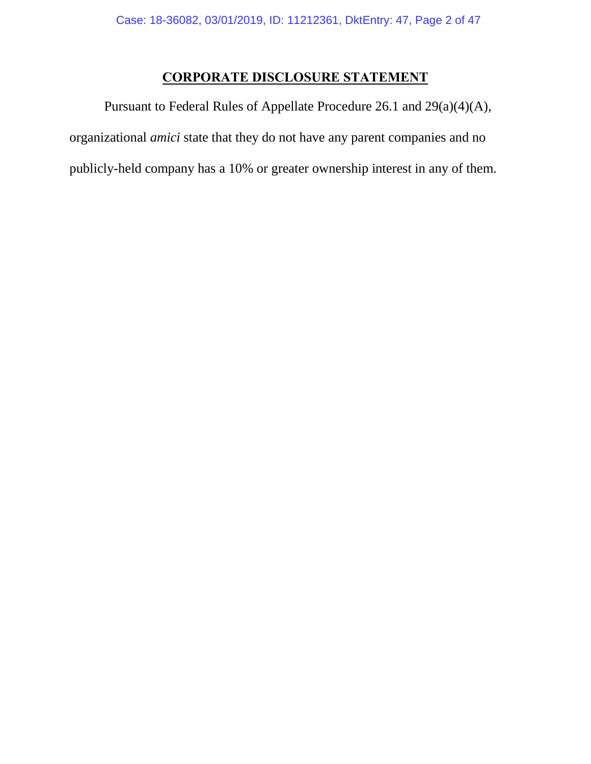# **CORPORATE DISCLOSURE STATEMENT**

Pursuant to Federal Rules of Appellate Procedure 26.1 and 29(a)(4)(A), organizational *amici* state that they do not have any parent companies and no publicly-held company has a 10% or greater ownership interest in any of them.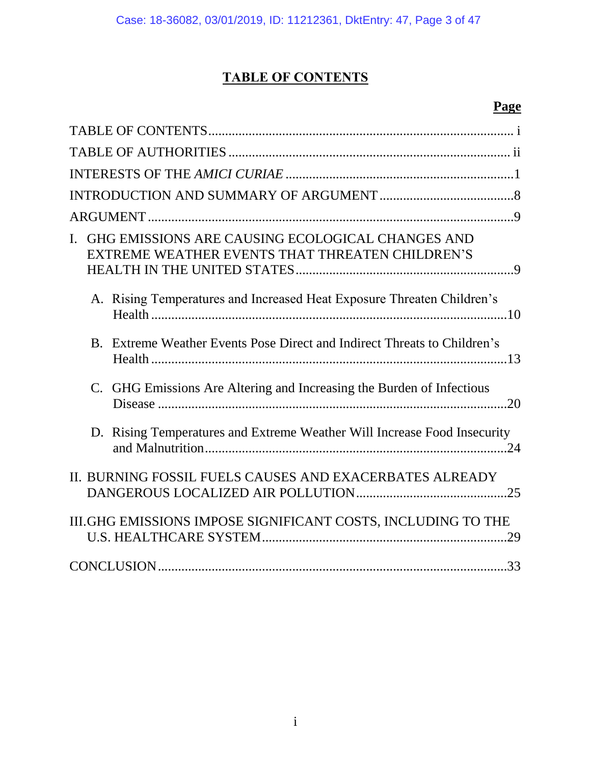# **TABLE OF CONTENTS**

# **Page**

<span id="page-2-0"></span>

| GHG EMISSIONS ARE CAUSING ECOLOGICAL CHANGES AND<br>$\mathbf{L}$<br>EXTREME WEATHER EVENTS THAT THREATEN CHILDREN'S |
|---------------------------------------------------------------------------------------------------------------------|
| A. Rising Temperatures and Increased Heat Exposure Threaten Children's                                              |
| B. Extreme Weather Events Pose Direct and Indirect Threats to Children's                                            |
| C. GHG Emissions Are Altering and Increasing the Burden of Infectious                                               |
| D. Rising Temperatures and Extreme Weather Will Increase Food Insecurity                                            |
| II. BURNING FOSSIL FUELS CAUSES AND EXACERBATES ALREADY                                                             |
| III.GHG EMISSIONS IMPOSE SIGNIFICANT COSTS, INCLUDING TO THE                                                        |
|                                                                                                                     |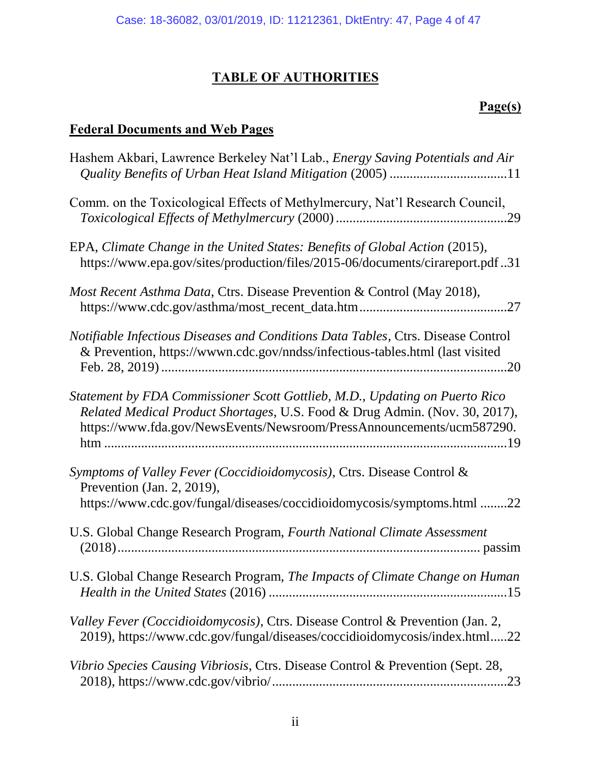# **TABLE OF AUTHORITIES**

# **Page(s)**

# <span id="page-3-0"></span>**Federal Documents and Web Pages**

| Hashem Akbari, Lawrence Berkeley Nat'l Lab., <i>Energy Saving Potentials and Air</i>                                                                                                                                                |
|-------------------------------------------------------------------------------------------------------------------------------------------------------------------------------------------------------------------------------------|
| Comm. on the Toxicological Effects of Methylmercury, Nat'l Research Council,                                                                                                                                                        |
| EPA, Climate Change in the United States: Benefits of Global Action (2015),<br>https://www.epa.gov/sites/production/files/2015-06/documents/cirareport.pdf31                                                                        |
| Most Recent Asthma Data, Ctrs. Disease Prevention & Control (May 2018),                                                                                                                                                             |
| Notifiable Infectious Diseases and Conditions Data Tables, Ctrs. Disease Control<br>& Prevention, https://wwwn.cdc.gov/nndss/infectious-tables.html (last visited                                                                   |
| Statement by FDA Commissioner Scott Gottlieb, M.D., Updating on Puerto Rico<br>Related Medical Product Shortages, U.S. Food & Drug Admin. (Nov. 30, 2017),<br>https://www.fda.gov/NewsEvents/Newsroom/PressAnnouncements/ucm587290. |
| Symptoms of Valley Fever (Coccidioidomycosis), Ctrs. Disease Control &<br>Prevention (Jan. 2, 2019),<br>https://www.cdc.gov/fungal/diseases/coccidioidomycosis/symptoms.html 22                                                     |
| U.S. Global Change Research Program, Fourth National Climate Assessment                                                                                                                                                             |
| U.S. Global Change Research Program, The Impacts of Climate Change on Human                                                                                                                                                         |
| Valley Fever (Coccidioidomycosis), Ctrs. Disease Control & Prevention (Jan. 2,<br>2019), https://www.cdc.gov/fungal/diseases/coccidioidomycosis/index.html22                                                                        |
| Vibrio Species Causing Vibriosis, Ctrs. Disease Control & Prevention (Sept. 28,                                                                                                                                                     |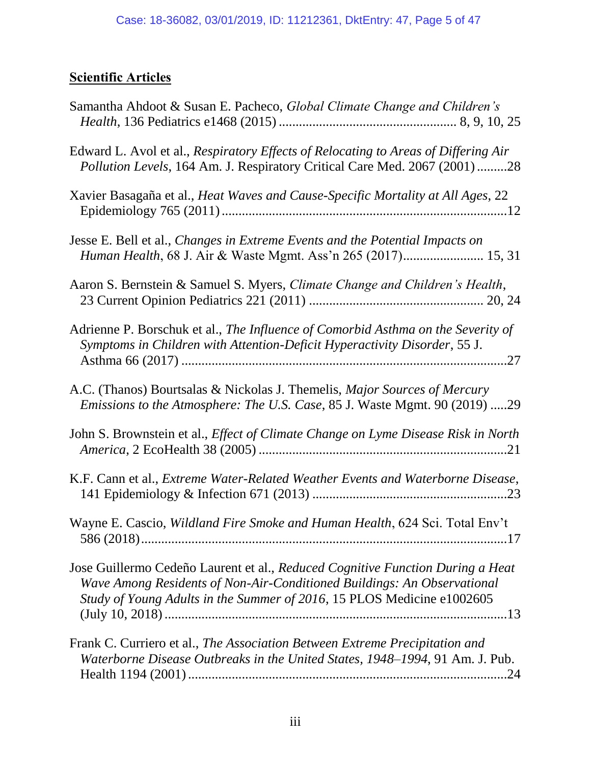# **Scientific Articles**

| Samantha Ahdoot & Susan E. Pacheco, Global Climate Change and Children's                                                                                                                                                            |
|-------------------------------------------------------------------------------------------------------------------------------------------------------------------------------------------------------------------------------------|
| Edward L. Avol et al., Respiratory Effects of Relocating to Areas of Differing Air<br>Pollution Levels, 164 Am. J. Respiratory Critical Care Med. 2067 (2001) 28                                                                    |
| Xavier Basagaña et al., Heat Waves and Cause-Specific Mortality at All Ages, 22                                                                                                                                                     |
| Jesse E. Bell et al., Changes in Extreme Events and the Potential Impacts on<br>Human Health, 68 J. Air & Waste Mgmt. Ass'n 265 (2017) 15, 31                                                                                       |
| Aaron S. Bernstein & Samuel S. Myers, Climate Change and Children's Health,                                                                                                                                                         |
| Adrienne P. Borschuk et al., The Influence of Comorbid Asthma on the Severity of<br>Symptoms in Children with Attention-Deficit Hyperactivity Disorder, 55 J.                                                                       |
| A.C. (Thanos) Bourtsalas & Nickolas J. Themelis, <i>Major Sources of Mercury</i><br>Emissions to the Atmosphere: The U.S. Case, 85 J. Waste Mgmt. 90 (2019) 29                                                                      |
| John S. Brownstein et al., <i>Effect of Climate Change on Lyme Disease Risk in North</i>                                                                                                                                            |
| K.F. Cann et al., Extreme Water-Related Weather Events and Waterborne Disease,                                                                                                                                                      |
| Wayne E. Cascio, Wildland Fire Smoke and Human Health, 624 Sci. Total Env't                                                                                                                                                         |
| Jose Guillermo Cedeño Laurent et al., Reduced Cognitive Function During a Heat<br>Wave Among Residents of Non-Air-Conditioned Buildings: An Observational<br>Study of Young Adults in the Summer of 2016, 15 PLOS Medicine e1002605 |
| Frank C. Curriero et al., The Association Between Extreme Precipitation and<br>Waterborne Disease Outbreaks in the United States, 1948–1994, 91 Am. J. Pub.                                                                         |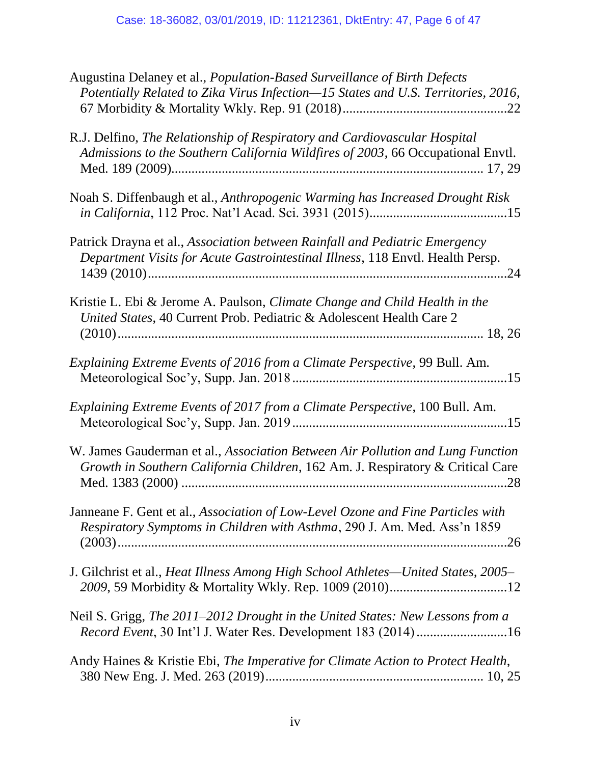| Augustina Delaney et al., Population-Based Surveillance of Birth Defects<br>Potentially Related to Zika Virus Infection-15 States and U.S. Territories, 2016,    |
|------------------------------------------------------------------------------------------------------------------------------------------------------------------|
| R.J. Delfino, The Relationship of Respiratory and Cardiovascular Hospital<br>Admissions to the Southern California Wildfires of 2003, 66 Occupational Envtl.     |
| Noah S. Diffenbaugh et al., Anthropogenic Warming has Increased Drought Risk                                                                                     |
| Patrick Drayna et al., Association between Rainfall and Pediatric Emergency<br>Department Visits for Acute Gastrointestinal Illness, 118 Envtl. Health Persp.    |
| Kristie L. Ebi & Jerome A. Paulson, <i>Climate Change and Child Health in the</i><br>United States, 40 Current Prob. Pediatric & Adolescent Health Care 2        |
| Explaining Extreme Events of 2016 from a Climate Perspective, 99 Bull. Am.                                                                                       |
| Explaining Extreme Events of 2017 from a Climate Perspective, 100 Bull. Am.                                                                                      |
| W. James Gauderman et al., Association Between Air Pollution and Lung Function<br>Growth in Southern California Children, 162 Am. J. Respiratory & Critical Care |
| Janneane F. Gent et al., Association of Low-Level Ozone and Fine Particles with<br>Respiratory Symptoms in Children with Asthma, 290 J. Am. Med. Ass'n 1859      |
| J. Gilchrist et al., <i>Heat Illness Among High School Athletes—United States, 2005–</i>                                                                         |
| Neil S. Grigg, The 2011–2012 Drought in the United States: New Lessons from a<br>Record Event, 30 Int'l J. Water Res. Development 183 (2014) 16                  |
| Andy Haines & Kristie Ebi, The Imperative for Climate Action to Protect Health,                                                                                  |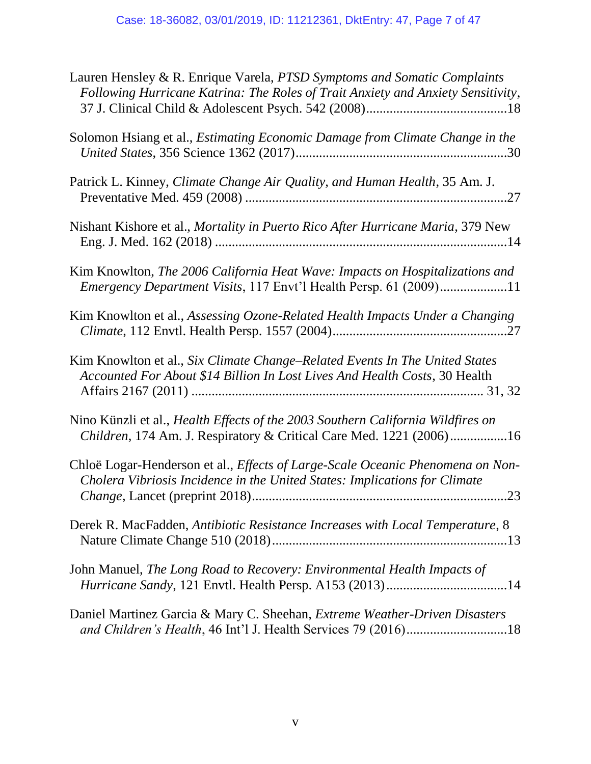| Lauren Hensley & R. Enrique Varela, PTSD Symptoms and Somatic Complaints<br>Following Hurricane Katrina: The Roles of Trait Anxiety and Anxiety Sensitivity,        |
|---------------------------------------------------------------------------------------------------------------------------------------------------------------------|
| Solomon Hsiang et al., Estimating Economic Damage from Climate Change in the                                                                                        |
| Patrick L. Kinney, Climate Change Air Quality, and Human Health, 35 Am. J.                                                                                          |
| Nishant Kishore et al., Mortality in Puerto Rico After Hurricane Maria, 379 New                                                                                     |
| Kim Knowlton, The 2006 California Heat Wave: Impacts on Hospitalizations and<br><i>Emergency Department Visits</i> , 117 Envt'l Health Persp. 61 (2009)11           |
| Kim Knowlton et al., Assessing Ozone-Related Health Impacts Under a Changing                                                                                        |
| Kim Knowlton et al., Six Climate Change–Related Events In The United States<br>Accounted For About \$14 Billion In Lost Lives And Health Costs, 30 Health           |
| Nino Künzli et al., Health Effects of the 2003 Southern California Wildfires on<br>Children, 174 Am. J. Respiratory & Critical Care Med. 1221 (2006)16              |
| Chloë Logar-Henderson et al., Effects of Large-Scale Oceanic Phenomena on Non-<br>Cholera Vibriosis Incidence in the United States: Implications for Climate<br>.23 |
| Derek R. MacFadden, Antibiotic Resistance Increases with Local Temperature, 8                                                                                       |
| John Manuel, The Long Road to Recovery: Environmental Health Impacts of                                                                                             |
| Daniel Martinez Garcia & Mary C. Sheehan, Extreme Weather-Driven Disasters<br>and Children's Health, 46 Int'l J. Health Services 79 (2016)18                        |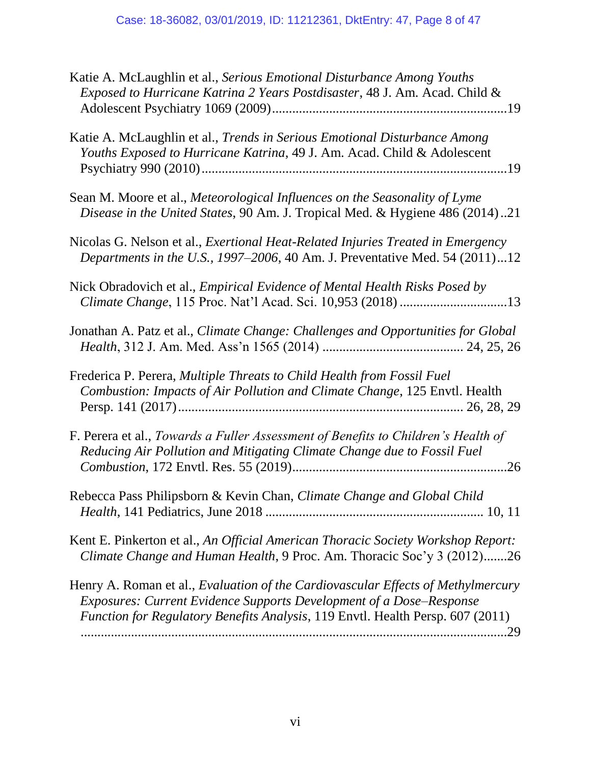| Katie A. McLaughlin et al., Serious Emotional Disturbance Among Youths<br>Exposed to Hurricane Katrina 2 Years Postdisaster, 48 J. Am. Acad. Child &                                                                                             |
|--------------------------------------------------------------------------------------------------------------------------------------------------------------------------------------------------------------------------------------------------|
| Katie A. McLaughlin et al., Trends in Serious Emotional Disturbance Among<br>Youths Exposed to Hurricane Katrina, 49 J. Am. Acad. Child & Adolescent                                                                                             |
| Sean M. Moore et al., Meteorological Influences on the Seasonality of Lyme<br>Disease in the United States, 90 Am. J. Tropical Med. & Hygiene 486 (2014)21                                                                                       |
| Nicolas G. Nelson et al., <i>Exertional Heat-Related Injuries Treated in Emergency</i><br>Departments in the U.S., 1997–2006, 40 Am. J. Preventative Med. 54 (2011)12                                                                            |
| Nick Obradovich et al., <i>Empirical Evidence of Mental Health Risks Posed by</i><br>Climate Change, 115 Proc. Nat'l Acad. Sci. 10,953 (2018) 13                                                                                                 |
| Jonathan A. Patz et al., Climate Change: Challenges and Opportunities for Global                                                                                                                                                                 |
| Frederica P. Perera, Multiple Threats to Child Health from Fossil Fuel<br>Combustion: Impacts of Air Pollution and Climate Change, 125 Envtl. Health                                                                                             |
| F. Perera et al., Towards a Fuller Assessment of Benefits to Children's Health of<br>Reducing Air Pollution and Mitigating Climate Change due to Fossil Fuel                                                                                     |
| Rebecca Pass Philipsborn & Kevin Chan, Climate Change and Global Child                                                                                                                                                                           |
| Kent E. Pinkerton et al., An Official American Thoracic Society Workshop Report:<br>Climate Change and Human Health, 9 Proc. Am. Thoracic Soc'y 3 (2012)26                                                                                       |
| Henry A. Roman et al., <i>Evaluation of the Cardiovascular Effects of Methylmercury</i><br>Exposures: Current Evidence Supports Development of a Dose-Response<br>Function for Regulatory Benefits Analysis, 119 Envtl. Health Persp. 607 (2011) |
|                                                                                                                                                                                                                                                  |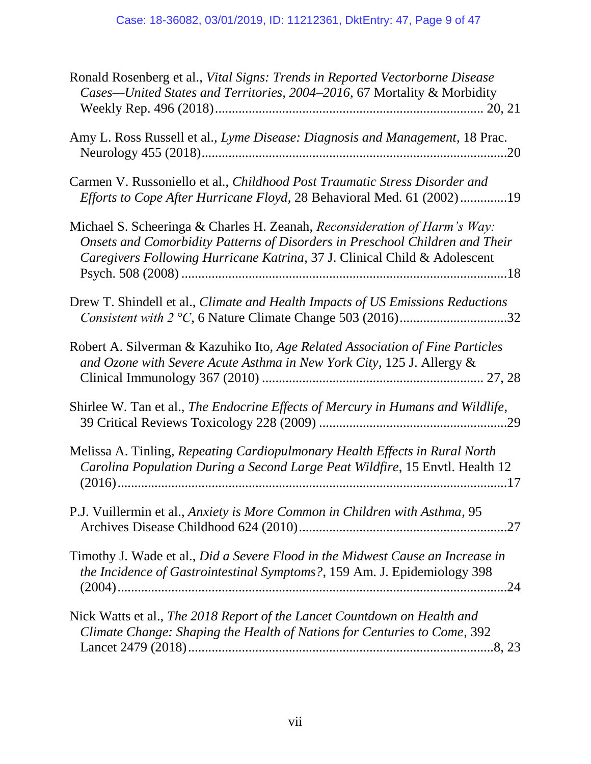| Ronald Rosenberg et al., Vital Signs: Trends in Reported Vectorborne Disease<br>Cases-United States and Territories, 2004-2016, 67 Mortality & Morbidity                                                                               |
|----------------------------------------------------------------------------------------------------------------------------------------------------------------------------------------------------------------------------------------|
| Amy L. Ross Russell et al., Lyme Disease: Diagnosis and Management, 18 Prac.                                                                                                                                                           |
| Carmen V. Russoniello et al., Childhood Post Traumatic Stress Disorder and<br>Efforts to Cope After Hurricane Floyd, 28 Behavioral Med. 61 (2002)19                                                                                    |
| Michael S. Scheeringa & Charles H. Zeanah, Reconsideration of Harm's Way:<br>Onsets and Comorbidity Patterns of Disorders in Preschool Children and Their<br>Caregivers Following Hurricane Katrina, 37 J. Clinical Child & Adolescent |
| Drew T. Shindell et al., Climate and Health Impacts of US Emissions Reductions                                                                                                                                                         |
| Robert A. Silverman & Kazuhiko Ito, Age Related Association of Fine Particles<br>and Ozone with Severe Acute Asthma in New York City, 125 J. Allergy &                                                                                 |
| Shirlee W. Tan et al., The Endocrine Effects of Mercury in Humans and Wildlife,                                                                                                                                                        |
| Melissa A. Tinling, Repeating Cardiopulmonary Health Effects in Rural North<br>Carolina Population During a Second Large Peat Wildfire, 15 Envtl. Health 12                                                                            |
| P.J. Vuillermin et al., Anxiety is More Common in Children with Asthma, 95                                                                                                                                                             |
| Timothy J. Wade et al., Did a Severe Flood in the Midwest Cause an Increase in<br>the Incidence of Gastrointestinal Symptoms?, 159 Am. J. Epidemiology 398                                                                             |
| Nick Watts et al., The 2018 Report of the Lancet Countdown on Health and<br>Climate Change: Shaping the Health of Nations for Centuries to Come, 392                                                                                   |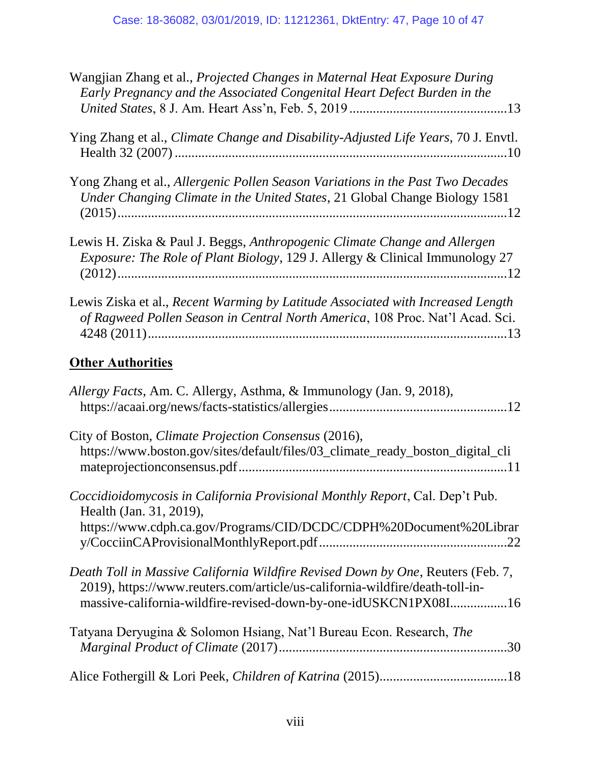| Wangjian Zhang et al., Projected Changes in Maternal Heat Exposure During<br>Early Pregnancy and the Associated Congenital Heart Defect Burden in the                                                                              |
|------------------------------------------------------------------------------------------------------------------------------------------------------------------------------------------------------------------------------------|
| Ying Zhang et al., <i>Climate Change and Disability-Adjusted Life Years</i> , 70 J. Envtl.                                                                                                                                         |
| Yong Zhang et al., Allergenic Pollen Season Variations in the Past Two Decades<br>Under Changing Climate in the United States, 21 Global Change Biology 1581                                                                       |
| Lewis H. Ziska & Paul J. Beggs, Anthropogenic Climate Change and Allergen<br><i>Exposure: The Role of Plant Biology, 129 J. Allergy &amp; Clinical Immunology 27</i>                                                               |
| Lewis Ziska et al., Recent Warming by Latitude Associated with Increased Length<br>of Ragweed Pollen Season in Central North America, 108 Proc. Nat'l Acad. Sci.                                                                   |
| <b>Other Authorities</b>                                                                                                                                                                                                           |
| Allergy Facts, Am. C. Allergy, Asthma, & Immunology (Jan. 9, 2018),                                                                                                                                                                |
| City of Boston, Climate Projection Consensus (2016),<br>https://www.boston.gov/sites/default/files/03_climate_ready_boston_digital_cli                                                                                             |
| Coccidioidomycosis in California Provisional Monthly Report, Cal. Dep't Pub.<br>Health (Jan. 31, 2019),<br>https://www.cdph.ca.gov/Programs/CID/DCDC/CDPH%20Document%20Librar                                                      |
| Death Toll in Massive California Wildfire Revised Down by One, Reuters (Feb. 7,<br>2019), https://www.reuters.com/article/us-california-wildfire/death-toll-in-<br>massive-california-wildfire-revised-down-by-one-idUSKCN1PX08I16 |
| Tatyana Deryugina & Solomon Hsiang, Nat'l Bureau Econ. Research, The                                                                                                                                                               |
|                                                                                                                                                                                                                                    |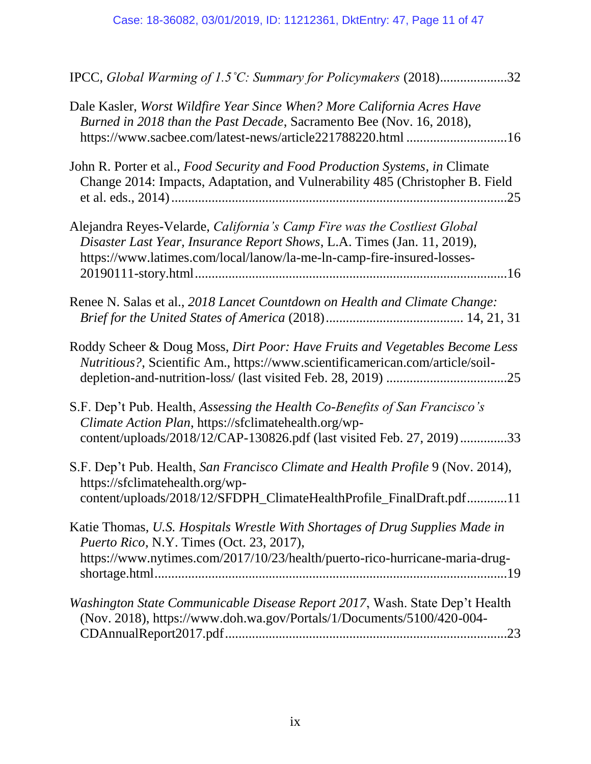| IPCC, Global Warming of 1.5°C: Summary for Policymakers (2018)32                                                                                                                                                              |
|-------------------------------------------------------------------------------------------------------------------------------------------------------------------------------------------------------------------------------|
| Dale Kasler, Worst Wildfire Year Since When? More California Acres Have<br>Burned in 2018 than the Past Decade, Sacramento Bee (Nov. 16, 2018),<br>https://www.sacbee.com/latest-news/article221788220.html 16                |
| John R. Porter et al., Food Security and Food Production Systems, in Climate<br>Change 2014: Impacts, Adaptation, and Vulnerability 485 (Christopher B. Field                                                                 |
| Alejandra Reyes-Velarde, California's Camp Fire was the Costliest Global<br>Disaster Last Year, Insurance Report Shows, L.A. Times (Jan. 11, 2019),<br>https://www.latimes.com/local/lanow/la-me-ln-camp-fire-insured-losses- |
| Renee N. Salas et al., 2018 Lancet Countdown on Health and Climate Change:                                                                                                                                                    |
| Roddy Scheer & Doug Moss, Dirt Poor: Have Fruits and Vegetables Become Less<br>Nutritious?, Scientific Am., https://www.scientificamerican.com/article/soil-                                                                  |
| S.F. Dep't Pub. Health, Assessing the Health Co-Benefits of San Francisco's<br>Climate Action Plan, https://sfclimatehealth.org/wp-<br>content/uploads/2018/12/CAP-130826.pdf (last visited Feb. 27, 2019)33                  |
| S.F. Dep't Pub. Health, San Francisco Climate and Health Profile 9 (Nov. 2014),<br>https://sfclimatehealth.org/wp-<br>content/uploads/2018/12/SFDPH_ClimateHealthProfile_FinalDraft.pdf11                                     |
| Katie Thomas, U.S. Hospitals Wrestle With Shortages of Drug Supplies Made in<br><i>Puerto Rico, N.Y. Times (Oct. 23, 2017),</i><br>https://www.nytimes.com/2017/10/23/health/puerto-rico-hurricane-maria-drug-                |
| Washington State Communicable Disease Report 2017, Wash. State Dep't Health<br>(Nov. 2018), https://www.doh.wa.gov/Portals/1/Documents/5100/420-004-                                                                          |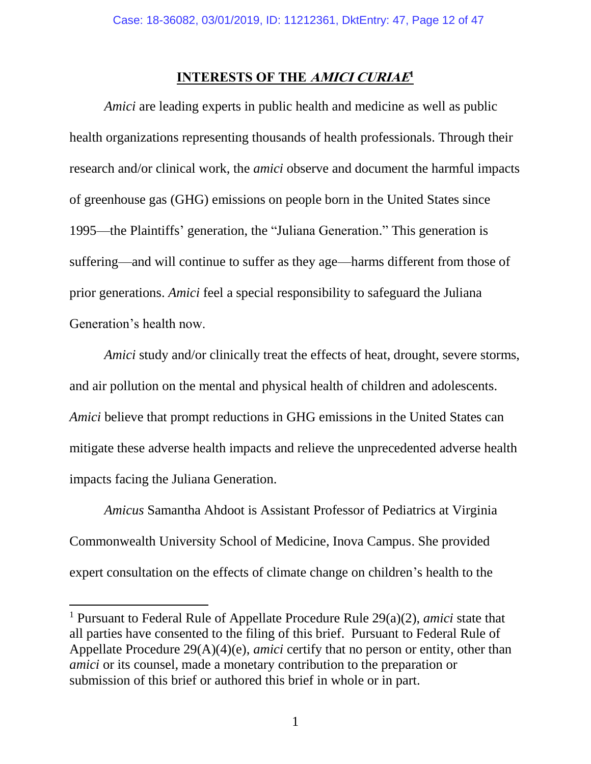### **INTERESTS OF THE AMICI CURIAE 1**

<span id="page-11-0"></span>*Amici* are leading experts in public health and medicine as well as public health organizations representing thousands of health professionals. Through their research and/or clinical work, the *amici* observe and document the harmful impacts of greenhouse gas (GHG) emissions on people born in the United States since 1995—the Plaintiffs' generation, the "Juliana Generation." This generation is suffering—and will continue to suffer as they age—harms different from those of prior generations. *Amici* feel a special responsibility to safeguard the Juliana Generation's health now.

*Amici* study and/or clinically treat the effects of heat, drought, severe storms, and air pollution on the mental and physical health of children and adolescents. *Amici* believe that prompt reductions in GHG emissions in the United States can mitigate these adverse health impacts and relieve the unprecedented adverse health impacts facing the Juliana Generation.

*Amicus* Samantha Ahdoot is Assistant Professor of Pediatrics at Virginia Commonwealth University School of Medicine, Inova Campus. She provided expert consultation on the effects of climate change on children's health to the

<sup>1</sup> Pursuant to Federal Rule of Appellate Procedure Rule 29(a)(2), *amici* state that all parties have consented to the filing of this brief. Pursuant to Federal Rule of Appellate Procedure 29(A)(4)(e), *amici* certify that no person or entity, other than *amici* or its counsel, made a monetary contribution to the preparation or submission of this brief or authored this brief in whole or in part.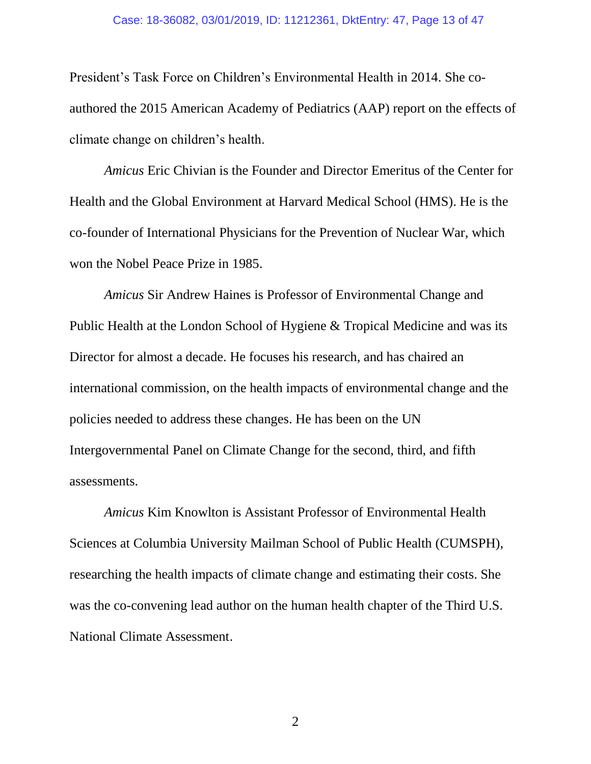#### Case: 18-36082, 03/01/2019, ID: 11212361, DktEntry: 47, Page 13 of 47

President's Task Force on Children's Environmental Health in 2014. She coauthored the 2015 American Academy of Pediatrics (AAP) report on the effects of climate change on children's health.

*Amicus* Eric Chivian is the Founder and Director Emeritus of the Center for Health and the Global Environment at Harvard Medical School (HMS). He is the co-founder of International Physicians for the Prevention of Nuclear War, which won the Nobel Peace Prize in 1985.

*Amicus* Sir Andrew Haines is Professor of Environmental Change and Public Health at the London School of Hygiene & Tropical Medicine and was its Director for almost a decade. He focuses his research, and has chaired an international commission, on the health impacts of environmental change and the policies needed to address these changes. He has been on the UN Intergovernmental Panel on Climate Change for the second, third, and fifth assessments.

*Amicus* Kim Knowlton is Assistant Professor of Environmental Health Sciences at Columbia University Mailman School of Public Health (CUMSPH), researching the health impacts of climate change and estimating their costs. She was the co-convening lead author on the human health chapter of the Third U.S. National Climate Assessment.

2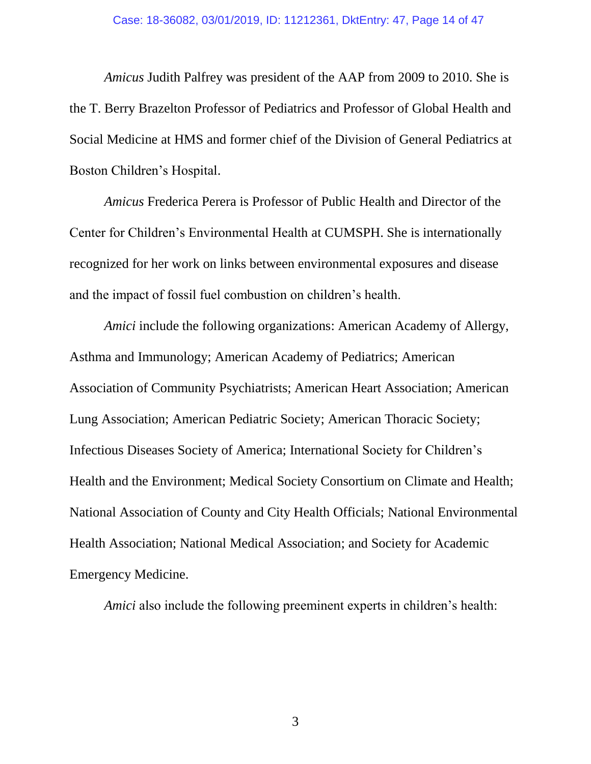*Amicus* Judith Palfrey was president of the AAP from 2009 to 2010. She is the T. Berry Brazelton Professor of Pediatrics and Professor of Global Health and Social Medicine at HMS and former chief of the Division of General Pediatrics at Boston Children's Hospital.

*Amicus* Frederica Perera is Professor of Public Health and Director of the Center for Children's Environmental Health at CUMSPH. She is internationally recognized for her work on links between environmental exposures and disease and the impact of fossil fuel combustion on children's health.

*Amici* include the following organizations: American Academy of Allergy, Asthma and Immunology; American Academy of Pediatrics; American Association of Community Psychiatrists; American Heart Association; American Lung Association; American Pediatric Society; American Thoracic Society; Infectious Diseases Society of America; International Society for Children's Health and the Environment; Medical Society Consortium on Climate and Health; National Association of County and City Health Officials; National Environmental Health Association; National Medical Association; and Society for Academic Emergency Medicine.

*Amici* also include the following preeminent experts in children's health:

3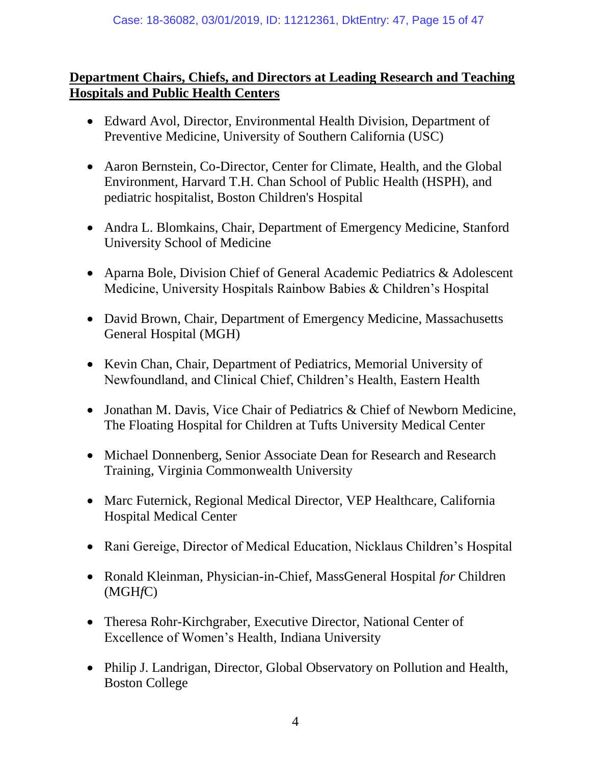# **Department Chairs, Chiefs, and Directors at Leading Research and Teaching Hospitals and Public Health Centers**

- Edward Avol, Director, Environmental Health Division, Department of Preventive Medicine, University of Southern California (USC)
- Aaron Bernstein, Co-Director, Center for Climate, Health, and the Global Environment, Harvard T.H. Chan School of Public Health (HSPH), and pediatric hospitalist, Boston Children's Hospital
- Andra L. Blomkains, Chair, Department of Emergency Medicine, Stanford University School of Medicine
- Aparna Bole, Division Chief of General Academic Pediatrics & Adolescent Medicine, University Hospitals Rainbow Babies & Children's Hospital
- David Brown, Chair, Department of Emergency Medicine, Massachusetts General Hospital (MGH)
- Kevin Chan, Chair, Department of Pediatrics, Memorial University of Newfoundland, and Clinical Chief, Children's Health, Eastern Health
- Jonathan M. Davis, Vice Chair of Pediatrics & Chief of Newborn Medicine, The Floating Hospital for Children at Tufts University Medical Center
- Michael Donnenberg, Senior Associate Dean for Research and Research Training, Virginia Commonwealth University
- Marc Futernick, Regional Medical Director, VEP Healthcare, California Hospital Medical Center
- Rani Gereige, Director of Medical Education, Nicklaus Children's Hospital
- Ronald Kleinman, Physician-in-Chief, MassGeneral Hospital *for* Children (MGH*f*C)
- Theresa Rohr-Kirchgraber, Executive Director, National Center of Excellence of Women's Health, Indiana University
- Philip J. Landrigan, Director, Global Observatory on Pollution and Health, Boston College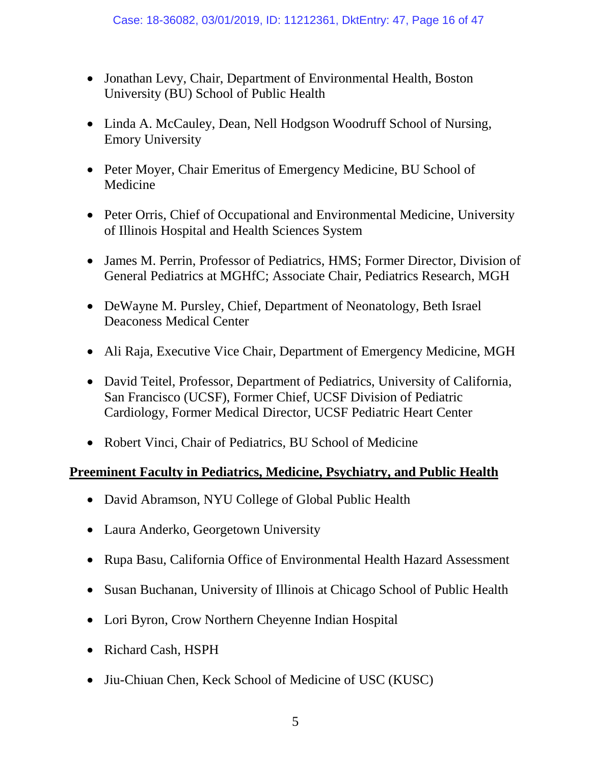- Jonathan Levy, Chair, Department of Environmental Health, Boston University (BU) School of Public Health
- Linda A. McCauley, Dean, Nell Hodgson Woodruff School of Nursing, Emory University
- Peter Moyer, Chair Emeritus of Emergency Medicine, BU School of Medicine
- Peter Orris, Chief of Occupational and Environmental Medicine, University of Illinois Hospital and Health Sciences System
- James M. Perrin, Professor of Pediatrics, HMS; Former Director, Division of General Pediatrics at MGHfC; Associate Chair, Pediatrics Research, MGH
- DeWayne M. Pursley, Chief, Department of Neonatology, Beth Israel Deaconess Medical Center
- Ali Raja, Executive Vice Chair, Department of Emergency Medicine, MGH
- David Teitel, Professor, Department of Pediatrics, University of California, San Francisco (UCSF), Former Chief, UCSF Division of Pediatric Cardiology, Former Medical Director, UCSF Pediatric Heart Center
- Robert Vinci, Chair of Pediatrics, BU School of Medicine

# **Preeminent Faculty in Pediatrics, Medicine, Psychiatry, and Public Health**

- David Abramson, NYU College of Global Public Health
- Laura Anderko, Georgetown University
- Rupa Basu, California Office of Environmental Health Hazard Assessment
- Susan Buchanan, University of Illinois at Chicago School of Public Health
- Lori Byron, Crow Northern Cheyenne Indian Hospital
- Richard Cash, HSPH
- Jiu-Chiuan Chen, Keck School of Medicine of USC (KUSC)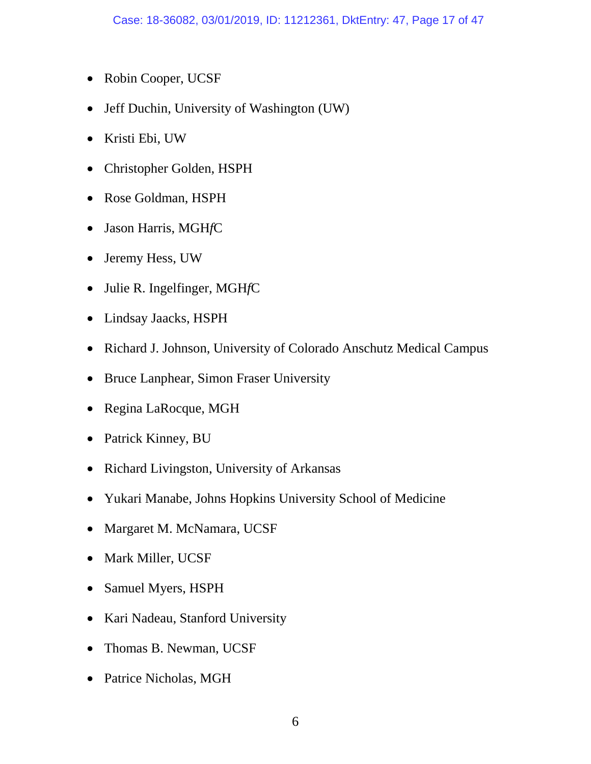- Robin Cooper, UCSF
- Jeff Duchin, University of Washington (UW)
- Kristi Ebi, UW
- Christopher Golden, HSPH
- Rose Goldman, HSPH
- Jason Harris, MGH*f*C
- Jeremy Hess, UW
- Julie R. Ingelfinger, MGH*f*C
- Lindsay Jaacks, HSPH
- Richard J. Johnson, University of Colorado Anschutz Medical Campus
- Bruce Lanphear, Simon Fraser University
- Regina LaRocque, MGH
- Patrick Kinney, BU
- Richard Livingston, University of Arkansas
- Yukari Manabe, Johns Hopkins University School of Medicine
- Margaret M. McNamara, UCSF
- Mark Miller, UCSF
- Samuel Myers, HSPH
- Kari Nadeau, Stanford University
- Thomas B. Newman, UCSF
- Patrice Nicholas, MGH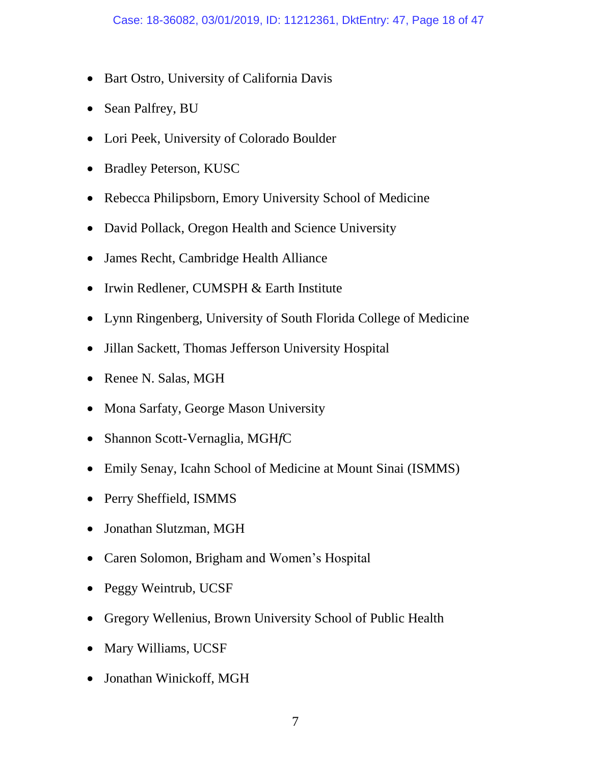- Bart Ostro, University of California Davis
- Sean Palfrey, BU
- Lori Peek, University of Colorado Boulder
- Bradley Peterson, KUSC
- Rebecca Philipsborn, Emory University School of Medicine
- David Pollack, Oregon Health and Science University
- James Recht, Cambridge Health Alliance
- Irwin Redlener, CUMSPH & Earth Institute
- Lynn Ringenberg, University of South Florida College of Medicine
- Jillan Sackett, Thomas Jefferson University Hospital
- Renee N. Salas, MGH
- Mona Sarfaty, George Mason University
- Shannon Scott-Vernaglia, MGH*f*C
- Emily Senay, Icahn School of Medicine at Mount Sinai (ISMMS)
- Perry Sheffield, ISMMS
- Jonathan Slutzman, MGH
- Caren Solomon, Brigham and Women's Hospital
- Peggy Weintrub, UCSF
- Gregory Wellenius, Brown University School of Public Health
- Mary Williams, UCSF
- Jonathan Winickoff, MGH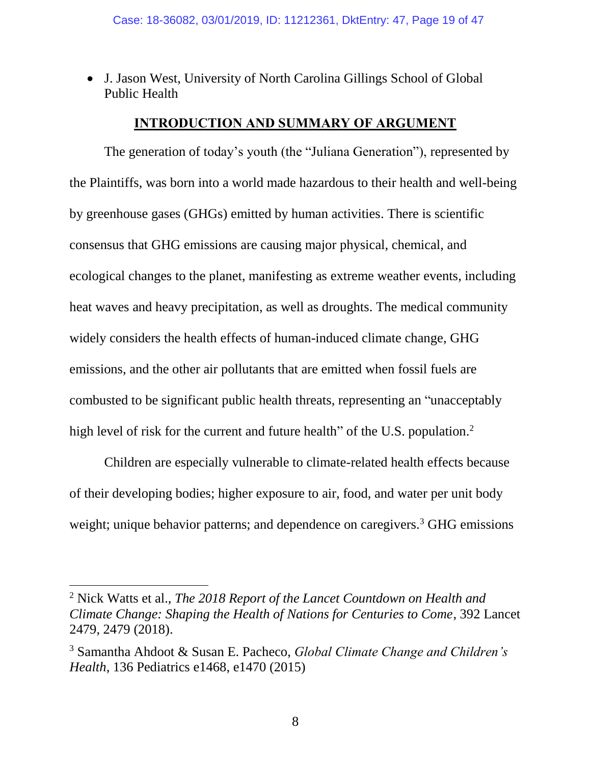J. Jason West, University of North Carolina Gillings School of Global Public Health

### **INTRODUCTION AND SUMMARY OF ARGUMENT**

<span id="page-18-0"></span>The generation of today's youth (the "Juliana Generation"), represented by the Plaintiffs, was born into a world made hazardous to their health and well-being by greenhouse gases (GHGs) emitted by human activities. There is scientific consensus that GHG emissions are causing major physical, chemical, and ecological changes to the planet, manifesting as extreme weather events, including heat waves and heavy precipitation, as well as droughts. The medical community widely considers the health effects of human-induced climate change, GHG emissions, and the other air pollutants that are emitted when fossil fuels are combusted to be significant public health threats, representing an "unacceptably high level of risk for the current and future health" of the U.S. population.<sup>2</sup>

<span id="page-18-2"></span><span id="page-18-1"></span>Children are especially vulnerable to climate-related health effects because of their developing bodies; higher exposure to air, food, and water per unit body weight; unique behavior patterns; and dependence on caregivers.<sup>3</sup> GHG emissions

<sup>2</sup> Nick Watts et al., *The 2018 Report of the Lancet Countdown on Health and Climate Change: Shaping the Health of Nations for Centuries to Come*, 392 Lancet 2479, 2479 (2018).

<sup>3</sup> Samantha Ahdoot & Susan E. Pacheco, *Global Climate Change and Children's Health*, 136 Pediatrics e1468, e1470 (2015)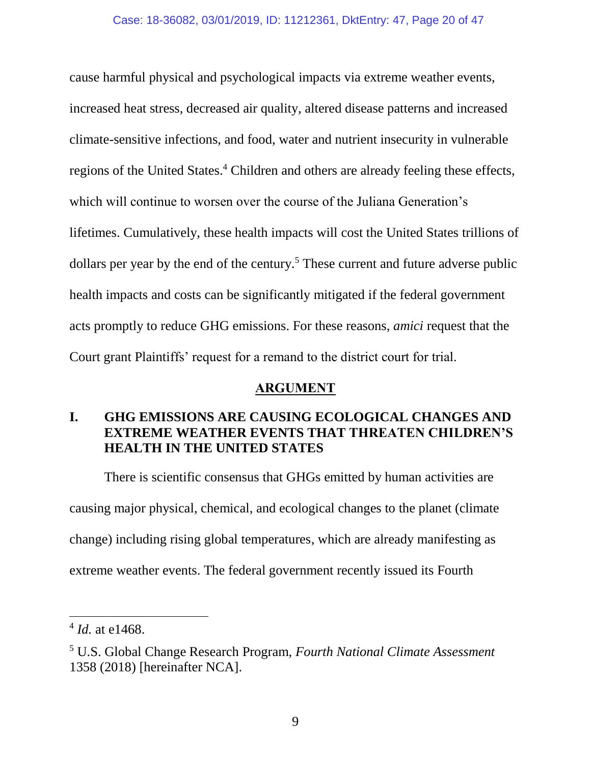cause harmful physical and psychological impacts via extreme weather events, increased heat stress, decreased air quality, altered disease patterns and increased climate-sensitive infections, and food, water and nutrient insecurity in vulnerable regions of the United States.<sup>4</sup> Children and others are already feeling these effects, which will continue to worsen over the course of the Juliana Generation's lifetimes. Cumulatively, these health impacts will cost the United States trillions of dollars per year by the end of the century.<sup>5</sup> These current and future adverse public health impacts and costs can be significantly mitigated if the federal government acts promptly to reduce GHG emissions. For these reasons, *amici* request that the Court grant Plaintiffs' request for a remand to the district court for trial.

### <span id="page-19-2"></span>**ARGUMENT**

# <span id="page-19-1"></span><span id="page-19-0"></span>**I. GHG EMISSIONS ARE CAUSING ECOLOGICAL CHANGES AND EXTREME WEATHER EVENTS THAT THREATEN CHILDREN'S HEALTH IN THE UNITED STATES**

There is scientific consensus that GHGs emitted by human activities are causing major physical, chemical, and ecological changes to the planet (climate change) including rising global temperatures, which are already manifesting as extreme weather events. The federal government recently issued its Fourth

<sup>4</sup> *Id.* at e1468.

<sup>5</sup> U.S. Global Change Research Program, *Fourth National Climate Assessment* 1358 (2018) [hereinafter NCA].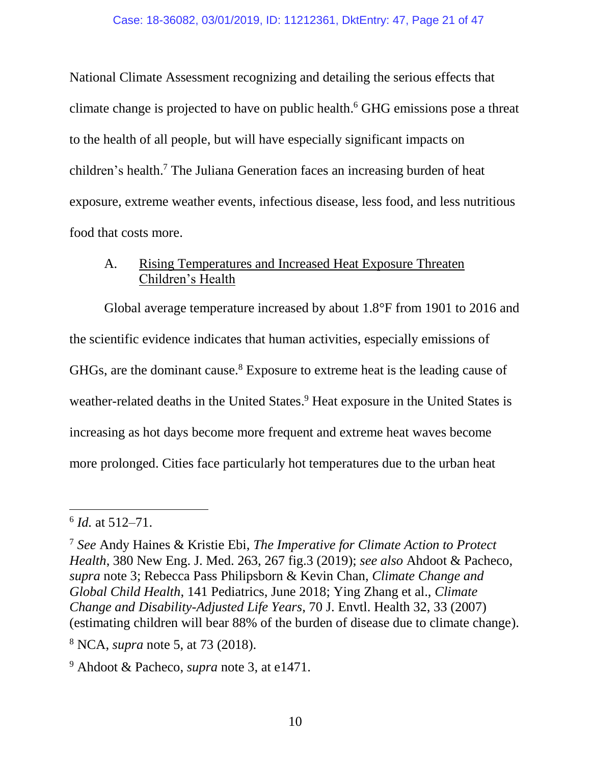National Climate Assessment recognizing and detailing the serious effects that climate change is projected to have on public health. <sup>6</sup> GHG emissions pose a threat to the health of all people, but will have especially significant impacts on children's health. <sup>7</sup> The Juliana Generation faces an increasing burden of heat exposure, extreme weather events, infectious disease, less food, and less nutritious food that costs more.

## <span id="page-20-1"></span><span id="page-20-0"></span>A. Rising Temperatures and Increased Heat Exposure Threaten Children's Health

Global average temperature increased by about 1.8°F from 1901 to 2016 and the scientific evidence indicates that human activities, especially emissions of GHGs, are the dominant cause.<sup>8</sup> Exposure to extreme heat is the leading cause of weather-related deaths in the United States. <sup>9</sup> Heat exposure in the United States is increasing as hot days become more frequent and extreme heat waves become more prolonged. Cities face particularly hot temperatures due to the urban heat

<sup>6</sup> *Id.* at 512–71.

<sup>7</sup> *See* Andy Haines & Kristie Ebi, *The Imperative for Climate Action to Protect Health*, 380 New Eng. J. Med. 263, 267 fig.3 (2019); *see also* Ahdoot & Pacheco, *supra* note [3;](#page-18-1) Rebecca Pass Philipsborn & Kevin Chan, *Climate Change and Global Child Health*, 141 Pediatrics, June 2018; Ying Zhang et al., *Climate Change and Disability-Adjusted Life Years*, 70 J. Envtl. Health 32, 33 (2007) (estimating children will bear 88% of the burden of disease due to climate change).

<sup>8</sup> NCA, *supra* note [5,](#page-19-2) at 73 (2018).

<sup>9</sup> Ahdoot & Pacheco, *supra* note [3,](#page-18-1) at e1471.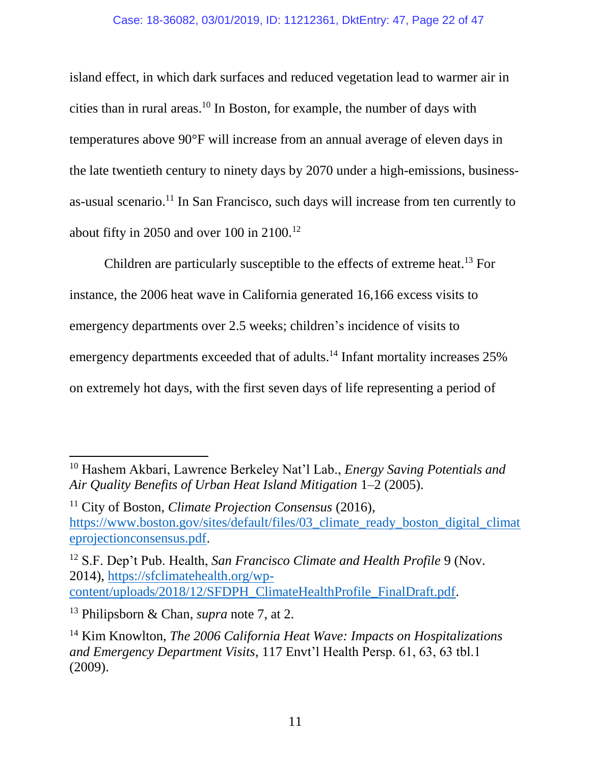#### Case: 18-36082, 03/01/2019, ID: 11212361, DktEntry: 47, Page 22 of 47

island effect, in which dark surfaces and reduced vegetation lead to warmer air in cities than in rural areas.<sup>10</sup> In Boston, for example, the number of days with temperatures above 90°F will increase from an annual average of eleven days in the late twentieth century to ninety days by 2070 under a high-emissions, businessas-usual scenario. <sup>11</sup> In San Francisco, such days will increase from ten currently to about fifty in 2050 and over 100 in 2100.<sup>12</sup>

Children are particularly susceptible to the effects of extreme heat.<sup>13</sup> For instance, the 2006 heat wave in California generated 16,166 excess visits to emergency departments over 2.5 weeks; children's incidence of visits to emergency departments exceeded that of adults.<sup>14</sup> Infant mortality increases 25% on extremely hot days, with the first seven days of life representing a period of

<sup>12</sup> S.F. Dep't Pub. Health, *San Francisco Climate and Health Profile* 9 (Nov. 2014), [https://sfclimatehealth.org/wp](https://sfclimatehealth.org/wp-content/uploads/2018/12/SFDPH_ClimateHealthProfile_FinalDraft.pdf)[content/uploads/2018/12/SFDPH\\_ClimateHealthProfile\\_FinalDraft.pdf.](https://sfclimatehealth.org/wp-content/uploads/2018/12/SFDPH_ClimateHealthProfile_FinalDraft.pdf)

<sup>10</sup> Hashem Akbari, Lawrence Berkeley Nat'l Lab., *Energy Saving Potentials and Air Quality Benefits of Urban Heat Island Mitigation* 1–2 (2005).

<sup>11</sup> City of Boston, *Climate Projection Consensus* (2016), [https://www.boston.gov/sites/default/files/03\\_climate\\_ready\\_boston\\_digital\\_climat](https://www.boston.gov/sites/default/files/03_climate_ready_boston_digital_climateprojectionconsensus.pdf) [eprojectionconsensus.pdf.](https://www.boston.gov/sites/default/files/03_climate_ready_boston_digital_climateprojectionconsensus.pdf)

<sup>13</sup> Philipsborn & Chan, *supra* note [7,](#page-20-1) at 2.

<sup>14</sup> Kim Knowlton, *The 2006 California Heat Wave: Impacts on Hospitalizations and Emergency Department Visits*, 117 Envt'l Health Persp. 61, 63, 63 tbl.1 (2009).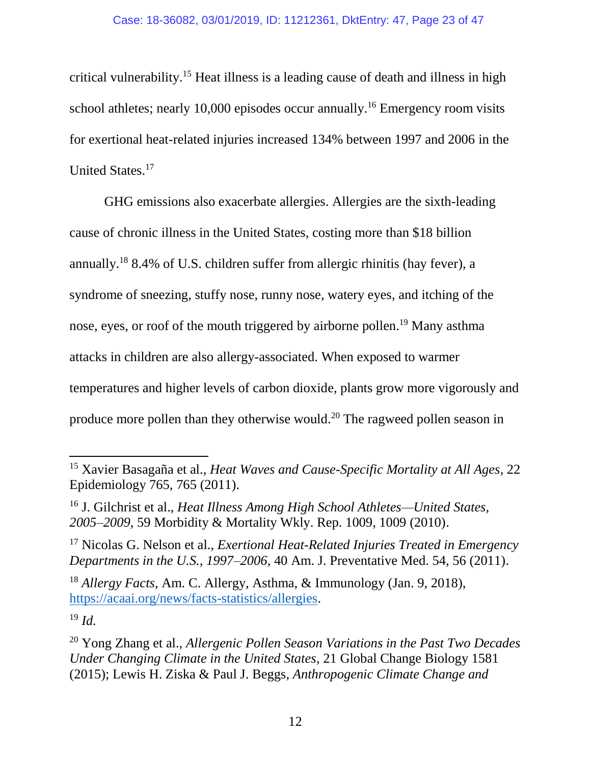critical vulnerability.<sup>15</sup> Heat illness is a leading cause of death and illness in high school athletes; nearly 10,000 episodes occur annually.<sup>16</sup> Emergency room visits for exertional heat-related injuries increased 134% between 1997 and 2006 in the United States. 17

GHG emissions also exacerbate allergies. Allergies are the sixth-leading cause of chronic illness in the United States, costing more than \$18 billion annually. <sup>18</sup> 8.4% of U.S. children suffer from allergic rhinitis (hay fever), a syndrome of sneezing, stuffy nose, runny nose, watery eyes, and itching of the nose, eyes, or roof of the mouth triggered by airborne pollen.<sup>19</sup> Many asthma attacks in children are also allergy-associated. When exposed to warmer temperatures and higher levels of carbon dioxide, plants grow more vigorously and produce more pollen than they otherwise would.<sup>20</sup> The ragweed pollen season in

<sup>18</sup> *Allergy Facts*, Am. C. Allergy, Asthma, & Immunology (Jan. 9, 2018), [https://acaai.org/news/facts-statistics/allergies.](https://acaai.org/news/facts-statistics/allergies)

<sup>19</sup> *Id.*

<sup>15</sup> Xavier Basagaña et al., *Heat Waves and Cause-Specific Mortality at All Ages*, 22 Epidemiology 765, 765 (2011).

<sup>16</sup> J. Gilchrist et al., *Heat Illness Among High School Athletes—United States, 2005–2009*, 59 Morbidity & Mortality Wkly. Rep. 1009, 1009 (2010).

<sup>17</sup> Nicolas G. Nelson et al., *Exertional Heat-Related Injuries Treated in Emergency Departments in the U.S., 1997–2006*, 40 Am. J. Preventative Med. 54, 56 (2011).

<sup>20</sup> Yong Zhang et al., *Allergenic Pollen Season Variations in the Past Two Decades Under Changing Climate in the United States*, 21 Global Change Biology 1581 (2015); Lewis H. Ziska & Paul J. Beggs, *Anthropogenic Climate Change and*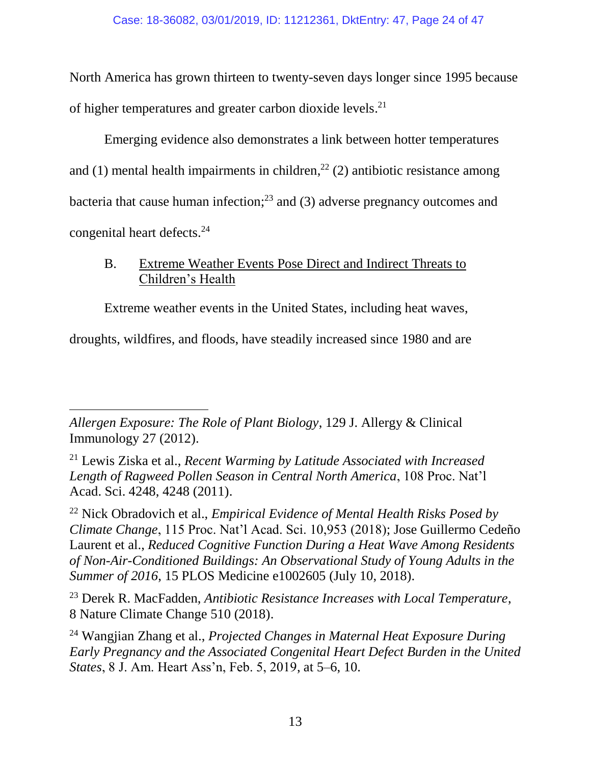North America has grown thirteen to twenty-seven days longer since 1995 because of higher temperatures and greater carbon dioxide levels.<sup>21</sup>

Emerging evidence also demonstrates a link between hotter temperatures and (1) mental health impairments in children,<sup>22</sup> (2) antibiotic resistance among bacteria that cause human infection; <sup>23</sup> and (3) adverse pregnancy outcomes and congenital heart defects.<sup>24</sup>

# <span id="page-23-0"></span>B. Extreme Weather Events Pose Direct and Indirect Threats to Children's Health

Extreme weather events in the United States, including heat waves,

droughts, wildfires, and floods, have steadily increased since 1980 and are

<sup>22</sup> Nick Obradovich et al., *Empirical Evidence of Mental Health Risks Posed by Climate Change*, 115 Proc. Nat'l Acad. Sci. 10,953 (2018); Jose Guillermo Cedeño Laurent et al., *Reduced Cognitive Function During a Heat Wave Among Residents of Non-Air-Conditioned Buildings: An Observational Study of Young Adults in the Summer of 2016*, 15 PLOS Medicine e1002605 (July 10, 2018).

<sup>23</sup> Derek R. MacFadden, *Antibiotic Resistance Increases with Local Temperature*, 8 Nature Climate Change 510 (2018).

<sup>24</sup> Wangjian Zhang et al., *Projected Changes in Maternal Heat Exposure During Early Pregnancy and the Associated Congenital Heart Defect Burden in the United States*, 8 J. Am. Heart Ass'n, Feb. 5, 2019, at 5–6, 10.

l *Allergen Exposure: The Role of Plant Biology*, 129 J. Allergy & Clinical Immunology 27 (2012).

<sup>21</sup> Lewis Ziska et al., *Recent Warming by Latitude Associated with Increased Length of Ragweed Pollen Season in Central North America*, 108 Proc. Nat'l Acad. Sci. 4248, 4248 (2011).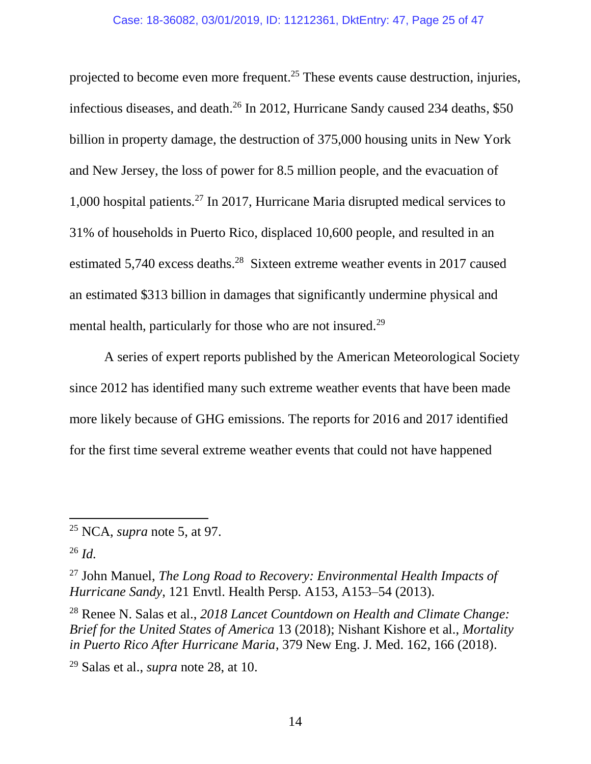projected to become even more frequent.<sup>25</sup> These events cause destruction, injuries, infectious diseases, and death.<sup>26</sup> In 2012, Hurricane Sandy caused 234 deaths, \$50 billion in property damage, the destruction of 375,000 housing units in New York and New Jersey, the loss of power for 8.5 million people, and the evacuation of 1,000 hospital patients.<sup>27</sup> In 2017, Hurricane Maria disrupted medical services to 31% of households in Puerto Rico, displaced 10,600 people, and resulted in an estimated 5,740 excess deaths.<sup>28</sup> Sixteen extreme weather events in 2017 caused an estimated \$313 billion in damages that significantly undermine physical and mental health, particularly for those who are not insured.<sup>29</sup>

<span id="page-24-0"></span>A series of expert reports published by the American Meteorological Society since 2012 has identified many such extreme weather events that have been made more likely because of GHG emissions. The reports for 2016 and 2017 identified for the first time several extreme weather events that could not have happened

<sup>25</sup> NCA, *supra* note [5,](#page-19-2) at 97.

<sup>26</sup> *Id.*

<sup>27</sup> John Manuel, *The Long Road to Recovery: Environmental Health Impacts of Hurricane Sandy*, 121 Envtl. Health Persp. A153, A153–54 (2013).

<sup>28</sup> Renee N. Salas et al., *2018 Lancet Countdown on Health and Climate Change: Brief for the United States of America* 13 (2018); Nishant Kishore et al., *Mortality in Puerto Rico After Hurricane Maria*, 379 New Eng. J. Med. 162, 166 (2018).

<sup>29</sup> Salas et al., *supra* note [28,](#page-24-0) at 10.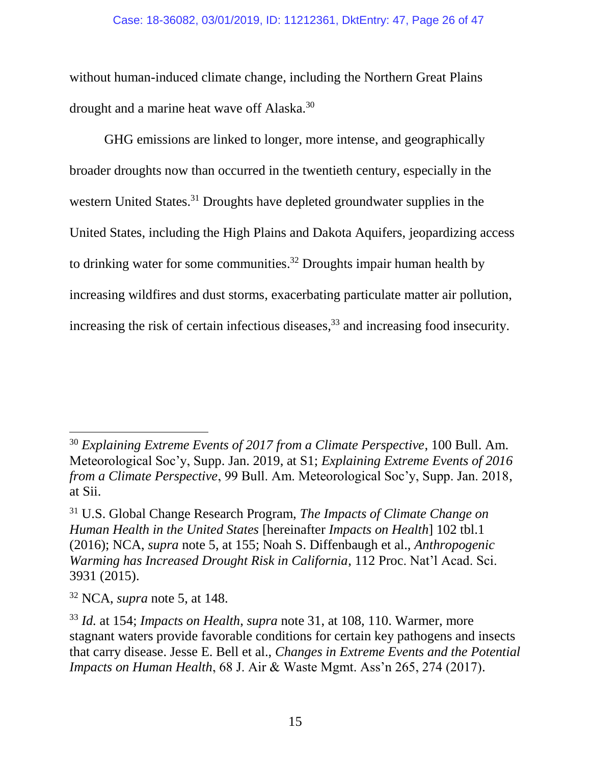#### Case: 18-36082, 03/01/2019, ID: 11212361, DktEntry: 47, Page 26 of 47

without human-induced climate change, including the Northern Great Plains drought and a marine heat wave off Alaska.<sup>30</sup>

<span id="page-25-0"></span>GHG emissions are linked to longer, more intense, and geographically broader droughts now than occurred in the twentieth century, especially in the western United States.<sup>31</sup> Droughts have depleted groundwater supplies in the United States, including the High Plains and Dakota Aquifers, jeopardizing access to drinking water for some communities.<sup>32</sup> Droughts impair human health by increasing wildfires and dust storms, exacerbating particulate matter air pollution, increasing the risk of certain infectious diseases, <sup>33</sup> and increasing food insecurity.

<span id="page-25-1"></span> $\overline{a}$ 

<sup>30</sup> *Explaining Extreme Events of 2017 from a Climate Perspective*, 100 Bull. Am. Meteorological Soc'y, Supp. Jan. 2019, at S1; *Explaining Extreme Events of 2016 from a Climate Perspective*, 99 Bull. Am. Meteorological Soc'y, Supp. Jan. 2018, at Sii.

<sup>31</sup> U.S. Global Change Research Program, *The Impacts of Climate Change on Human Health in the United States* [hereinafter *Impacts on Health*] 102 tbl.1 (2016); NCA, *supra* note [5,](#page-19-2) at 155; Noah S. Diffenbaugh et al., *Anthropogenic Warming has Increased Drought Risk in California*, 112 Proc. Nat'l Acad. Sci. 3931 (2015).

<sup>32</sup> NCA, *supra* note [5,](#page-19-2) at 148.

<sup>33</sup> *Id.* at 154; *Impacts on Health*, *supra* note [31,](#page-25-0) at 108, 110. Warmer, more stagnant waters provide favorable conditions for certain key pathogens and insects that carry disease. Jesse E. Bell et al., *Changes in Extreme Events and the Potential Impacts on Human Health*, 68 J. Air & Waste Mgmt. Ass'n 265, 274 (2017).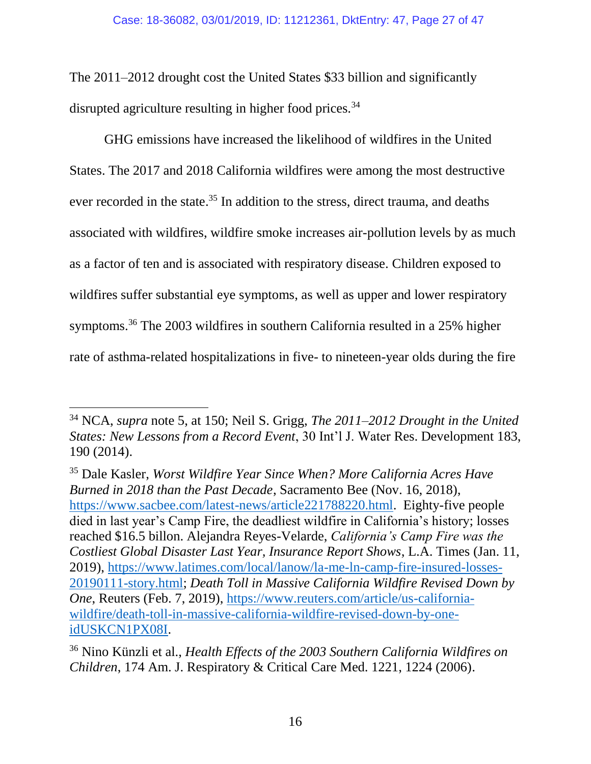The 2011–2012 drought cost the United States \$33 billion and significantly disrupted agriculture resulting in higher food prices.<sup>34</sup>

GHG emissions have increased the likelihood of wildfires in the United States. The 2017 and 2018 California wildfires were among the most destructive ever recorded in the state.<sup>35</sup> In addition to the stress, direct trauma, and deaths associated with wildfires, wildfire smoke increases air-pollution levels by as much as a factor of ten and is associated with respiratory disease. Children exposed to wildfires suffer substantial eye symptoms, as well as upper and lower respiratory symptoms.<sup>36</sup> The 2003 wildfires in southern California resulted in a 25% higher rate of asthma-related hospitalizations in five- to nineteen-year olds during the fire

<sup>34</sup> NCA, *supra* note [5,](#page-19-2) at 150; Neil S. Grigg, *The 2011–2012 Drought in the United States: New Lessons from a Record Event*, 30 Int'l J. Water Res. Development 183, 190 (2014).

<sup>35</sup> Dale Kasler, *Worst Wildfire Year Since When? More California Acres Have Burned in 2018 than the Past Decade*, Sacramento Bee (Nov. 16, 2018), [https://www.sacbee.com/latest-news/article221788220.html.](https://www.sacbee.com/latest-news/article221788220.html) Eighty-five people died in last year's Camp Fire, the deadliest wildfire in California's history; losses reached \$16.5 billon. Alejandra Reyes-Velarde, *California's Camp Fire was the Costliest Global Disaster Last Year, Insurance Report Shows*, L.A. Times (Jan. 11, 2019), [https://www.latimes.com/local/lanow/la-me-ln-camp-fire-insured-losses-](https://www.latimes.com/local/lanow/la-me-ln-camp-fire-insured-losses-20190111-story.html)[20190111-story.html;](https://www.latimes.com/local/lanow/la-me-ln-camp-fire-insured-losses-20190111-story.html) *Death Toll in Massive California Wildfire Revised Down by One*, Reuters (Feb. 7, 2019), [https://www.reuters.com/article/us-california](https://www.reuters.com/article/us-california-wildfire/death-toll-in-massive-california-wildfire-revised-down-by-one-idUSKCN1PX08I)[wildfire/death-toll-in-massive-california-wildfire-revised-down-by-one](https://www.reuters.com/article/us-california-wildfire/death-toll-in-massive-california-wildfire-revised-down-by-one-idUSKCN1PX08I)[idUSKCN1PX08I.](https://www.reuters.com/article/us-california-wildfire/death-toll-in-massive-california-wildfire-revised-down-by-one-idUSKCN1PX08I)

<sup>36</sup> Nino Künzli et al., *Health Effects of the 2003 Southern California Wildfires on Children*, 174 Am. J. Respiratory & Critical Care Med. 1221, 1224 (2006).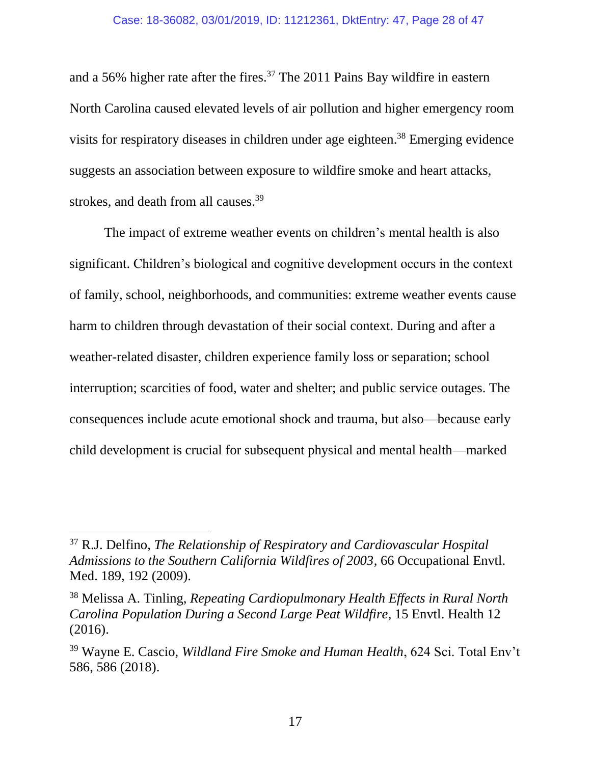<span id="page-27-0"></span>and a 56% higher rate after the fires.<sup>37</sup> The 2011 Pains Bay wildfire in eastern North Carolina caused elevated levels of air pollution and higher emergency room visits for respiratory diseases in children under age eighteen. <sup>38</sup> Emerging evidence suggests an association between exposure to wildfire smoke and heart attacks, strokes, and death from all causes.<sup>39</sup>

The impact of extreme weather events on children's mental health is also significant. Children's biological and cognitive development occurs in the context of family, school, neighborhoods, and communities: extreme weather events cause harm to children through devastation of their social context. During and after a weather-related disaster, children experience family loss or separation; school interruption; scarcities of food, water and shelter; and public service outages. The consequences include acute emotional shock and trauma, but also—because early child development is crucial for subsequent physical and mental health—marked

<sup>37</sup> R.J. Delfino, *The Relationship of Respiratory and Cardiovascular Hospital Admissions to the Southern California Wildfires of 2003*, 66 Occupational Envtl. Med. 189, 192 (2009).

<sup>38</sup> Melissa A. Tinling, *Repeating Cardiopulmonary Health Effects in Rural North Carolina Population During a Second Large Peat Wildfire*, 15 Envtl. Health 12 (2016).

<sup>39</sup> Wayne E. Cascio, *Wildland Fire Smoke and Human Health*, 624 Sci. Total Env't 586, 586 (2018).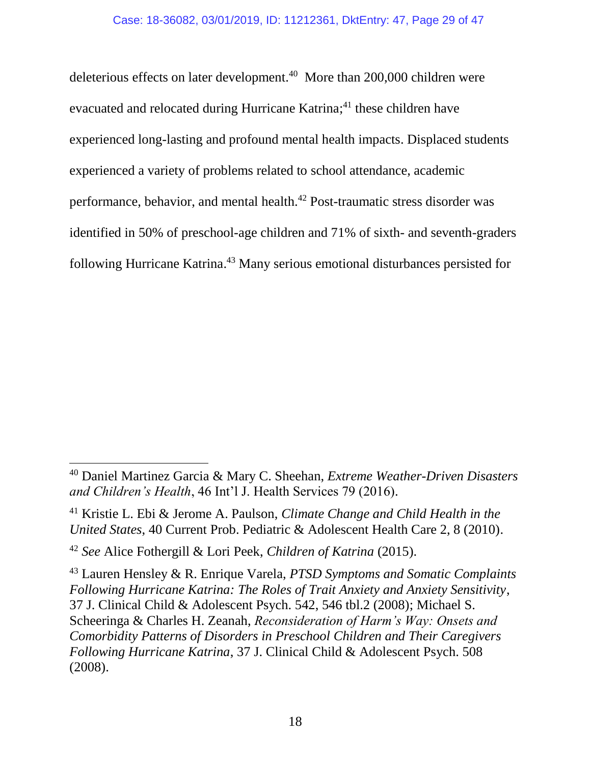<span id="page-28-0"></span>deleterious effects on later development.<sup>40</sup> More than 200,000 children were evacuated and relocated during Hurricane Katrina;<sup>41</sup> these children have experienced long-lasting and profound mental health impacts. Displaced students experienced a variety of problems related to school attendance, academic performance, behavior, and mental health.<sup>42</sup> Post-traumatic stress disorder was identified in 50% of preschool-age children and 71% of sixth- and seventh-graders following Hurricane Katrina. <sup>43</sup> Many serious emotional disturbances persisted for

<sup>40</sup> Daniel Martinez Garcia & Mary C. Sheehan, *Extreme Weather-Driven Disasters and Children's Health*, 46 Int'l J. Health Services 79 (2016).

<sup>41</sup> Kristie L. Ebi & Jerome A. Paulson, *Climate Change and Child Health in the United States*, 40 Current Prob. Pediatric & Adolescent Health Care 2, 8 (2010).

<sup>42</sup> *See* Alice Fothergill & Lori Peek, *Children of Katrina* (2015).

<sup>43</sup> Lauren Hensley & R. Enrique Varela, *PTSD Symptoms and Somatic Complaints Following Hurricane Katrina: The Roles of Trait Anxiety and Anxiety Sensitivity*, 37 J. Clinical Child & Adolescent Psych. 542, 546 tbl.2 (2008); Michael S. Scheeringa & Charles H. Zeanah, *Reconsideration of Harm's Way: Onsets and Comorbidity Patterns of Disorders in Preschool Children and Their Caregivers Following Hurricane Katrina*, 37 J. Clinical Child & Adolescent Psych. 508 (2008).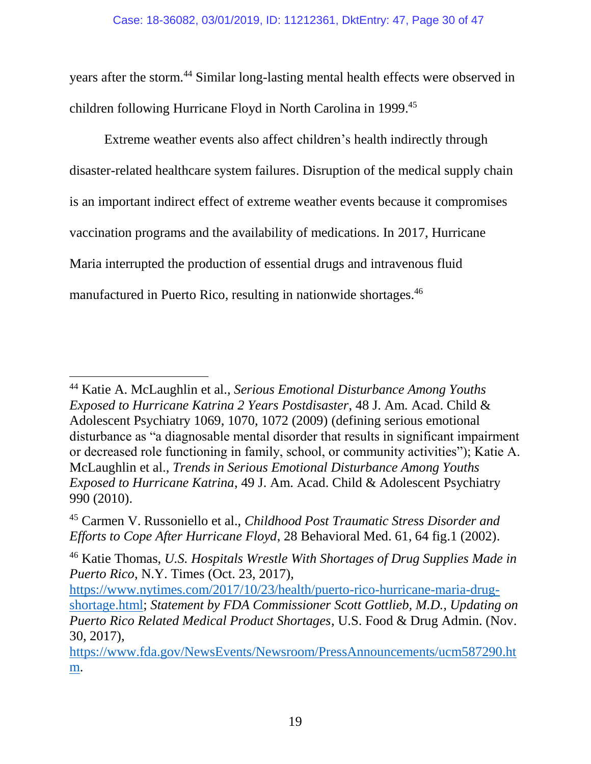years after the storm.<sup>44</sup> Similar long-lasting mental health effects were observed in children following Hurricane Floyd in North Carolina in 1999. 45

Extreme weather events also affect children's health indirectly through disaster-related healthcare system failures. Disruption of the medical supply chain is an important indirect effect of extreme weather events because it compromises vaccination programs and the availability of medications. In 2017, Hurricane Maria interrupted the production of essential drugs and intravenous fluid manufactured in Puerto Rico, resulting in nationwide shortages. 46

<sup>44</sup> Katie A. McLaughlin et al., *Serious Emotional Disturbance Among Youths Exposed to Hurricane Katrina 2 Years Postdisaster*, 48 J. Am. Acad. Child & Adolescent Psychiatry 1069, 1070, 1072 (2009) (defining serious emotional disturbance as "a diagnosable mental disorder that results in significant impairment or decreased role functioning in family, school, or community activities"); Katie A. McLaughlin et al., *Trends in Serious Emotional Disturbance Among Youths Exposed to Hurricane Katrina*, 49 J. Am. Acad. Child & Adolescent Psychiatry 990 (2010).

<sup>45</sup> Carmen V. Russoniello et al., *Childhood Post Traumatic Stress Disorder and Efforts to Cope After Hurricane Floyd*, 28 Behavioral Med. 61, 64 fig.1 (2002).

<sup>46</sup> Katie Thomas, *U.S. Hospitals Wrestle With Shortages of Drug Supplies Made in Puerto Rico*, N.Y. Times (Oct. 23, 2017),

[https://www.nytimes.com/2017/10/23/health/puerto-rico-hurricane-maria-drug](https://www.nytimes.com/2017/10/23/health/puerto-rico-hurricane-maria-drug-shortage.html)[shortage.html;](https://www.nytimes.com/2017/10/23/health/puerto-rico-hurricane-maria-drug-shortage.html) *Statement by FDA Commissioner Scott Gottlieb, M.D., Updating on Puerto Rico Related Medical Product Shortages*, U.S. Food & Drug Admin. (Nov. 30, 2017),

[https://www.fda.gov/NewsEvents/Newsroom/PressAnnouncements/ucm587290.ht](https://www.fda.gov/NewsEvents/Newsroom/PressAnnouncements/ucm587290.htm) [m.](https://www.fda.gov/NewsEvents/Newsroom/PressAnnouncements/ucm587290.htm)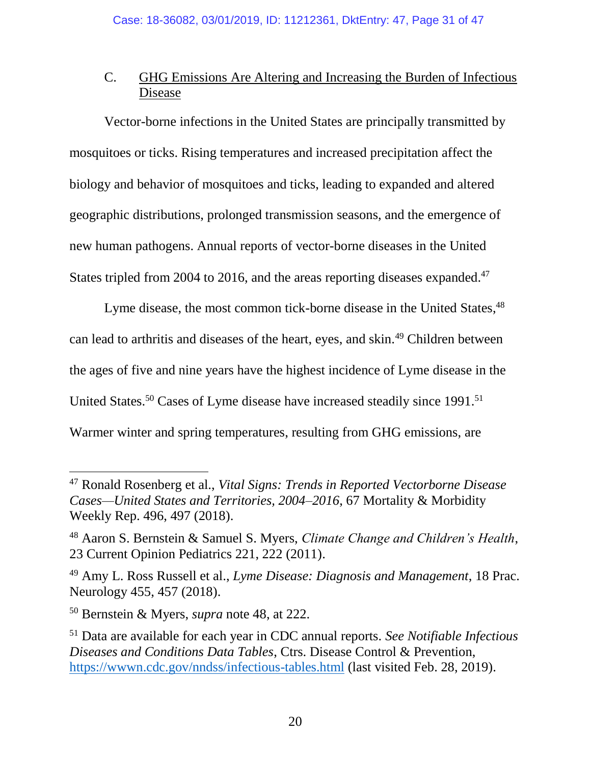# <span id="page-30-0"></span>C. GHG Emissions Are Altering and Increasing the Burden of Infectious Disease

Vector-borne infections in the United States are principally transmitted by mosquitoes or ticks. Rising temperatures and increased precipitation affect the biology and behavior of mosquitoes and ticks, leading to expanded and altered geographic distributions, prolonged transmission seasons, and the emergence of new human pathogens. Annual reports of vector-borne diseases in the United States tripled from 2004 to 2016, and the areas reporting diseases expanded.<sup>47</sup>

<span id="page-30-2"></span><span id="page-30-1"></span>Lyme disease, the most common tick-borne disease in the United States, <sup>48</sup> can lead to arthritis and diseases of the heart, eyes, and skin.<sup>49</sup> Children between the ages of five and nine years have the highest incidence of Lyme disease in the United States.<sup>50</sup> Cases of Lyme disease have increased steadily since 1991.<sup>51</sup> Warmer winter and spring temperatures, resulting from GHG emissions, are

<sup>47</sup> Ronald Rosenberg et al., *Vital Signs: Trends in Reported Vectorborne Disease Cases—United States and Territories, 2004–2016*, 67 Mortality & Morbidity Weekly Rep. 496, 497 (2018).

<sup>48</sup> Aaron S. Bernstein & Samuel S. Myers, *Climate Change and Children's Health*, 23 Current Opinion Pediatrics 221, 222 (2011).

<sup>49</sup> Amy L. Ross Russell et al., *Lyme Disease: Diagnosis and Management*, 18 Prac. Neurology 455, 457 (2018).

<sup>50</sup> Bernstein & Myers, *supra* note [48,](#page-30-1) at 222.

<sup>51</sup> Data are available for each year in CDC annual reports. *See Notifiable Infectious Diseases and Conditions Data Tables*, Ctrs. Disease Control & Prevention, <https://wwwn.cdc.gov/nndss/infectious-tables.html> (last visited Feb. 28, 2019).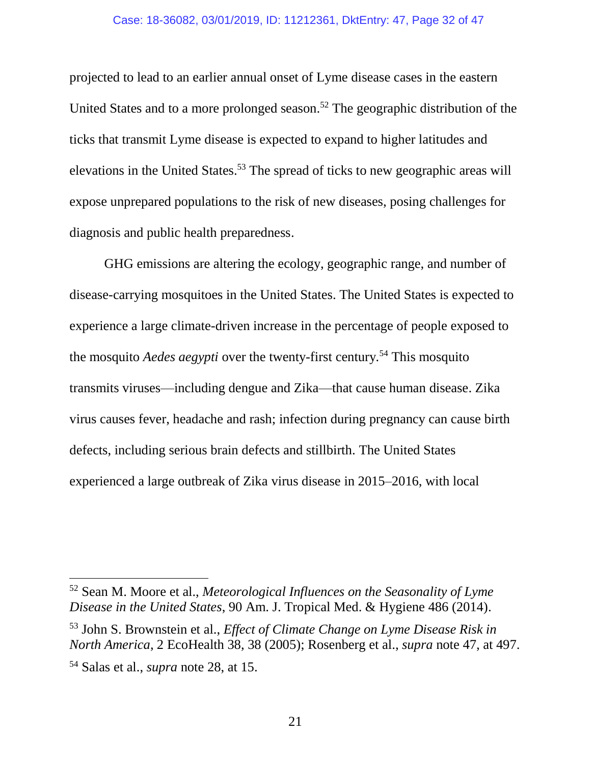#### Case: 18-36082, 03/01/2019, ID: 11212361, DktEntry: 47, Page 32 of 47

projected to lead to an earlier annual onset of Lyme disease cases in the eastern United States and to a more prolonged season.<sup>52</sup> The geographic distribution of the ticks that transmit Lyme disease is expected to expand to higher latitudes and elevations in the United States.<sup>53</sup> The spread of ticks to new geographic areas will expose unprepared populations to the risk of new diseases, posing challenges for diagnosis and public health preparedness.

GHG emissions are altering the ecology, geographic range, and number of disease-carrying mosquitoes in the United States. The United States is expected to experience a large climate-driven increase in the percentage of people exposed to the mosquito *Aedes aegypti* over the twenty-first century*.* <sup>54</sup> This mosquito transmits viruses—including dengue and Zika—that cause human disease. Zika virus causes fever, headache and rash; infection during pregnancy can cause birth defects, including serious brain defects and stillbirth. The United States experienced a large outbreak of Zika virus disease in 2015–2016, with local

<sup>52</sup> Sean M. Moore et al., *Meteorological Influences on the Seasonality of Lyme Disease in the United States*, 90 Am. J. Tropical Med. & Hygiene 486 (2014).

<sup>53</sup> John S. Brownstein et al., *Effect of Climate Change on Lyme Disease Risk in North America*, 2 EcoHealth 38, 38 (2005); Rosenberg et al., *supra* note [47,](#page-30-2) at 497. <sup>54</sup> Salas et al., *supra* note [28,](#page-24-0) at 15.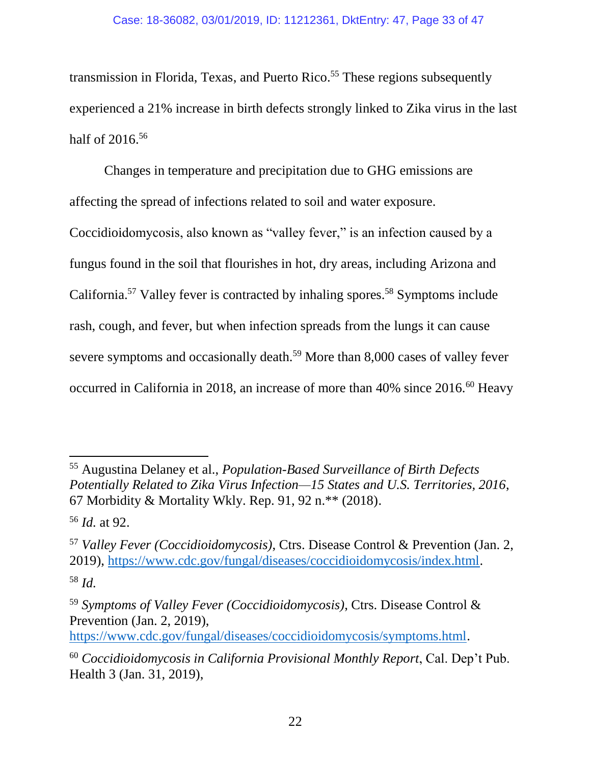transmission in Florida, Texas, and Puerto Rico.<sup>55</sup> These regions subsequently experienced a 21% increase in birth defects strongly linked to Zika virus in the last half of 2016.<sup>56</sup>

Changes in temperature and precipitation due to GHG emissions are affecting the spread of infections related to soil and water exposure.

Coccidioidomycosis, also known as "valley fever," is an infection caused by a fungus found in the soil that flourishes in hot, dry areas, including Arizona and California.<sup>57</sup> Valley fever is contracted by inhaling spores.<sup>58</sup> Symptoms include rash, cough, and fever, but when infection spreads from the lungs it can cause severe symptoms and occasionally death.<sup>59</sup> More than 8,000 cases of valley fever occurred in California in 2018, an increase of more than  $40\%$  since  $2016$ .<sup>60</sup> Heavy

<sup>55</sup> Augustina Delaney et al., *Population-Based Surveillance of Birth Defects Potentially Related to Zika Virus Infection—15 States and U.S. Territories, 2016*, 67 Morbidity & Mortality Wkly. Rep. 91, 92 n.\*\* (2018).

<sup>56</sup> *Id.* at 92.

<sup>57</sup> *Valley Fever (Coccidioidomycosis)*, Ctrs. Disease Control & Prevention (Jan. 2, 2019), [https://www.cdc.gov/fungal/diseases/coccidioidomycosis/index.html.](https://www.cdc.gov/fungal/diseases/coccidioidomycosis/index.html)

<sup>58</sup> *Id.*

<sup>59</sup> *Symptoms of Valley Fever (Coccidioidomycosis)*, Ctrs. Disease Control & Prevention (Jan. 2, 2019),

[https://www.cdc.gov/fungal/diseases/coccidioidomycosis/symptoms.html.](https://www.cdc.gov/fungal/diseases/coccidioidomycosis/symptoms.html)

<sup>60</sup> *Coccidioidomycosis in California Provisional Monthly Report*, Cal. Dep't Pub. Health 3 (Jan. 31, 2019),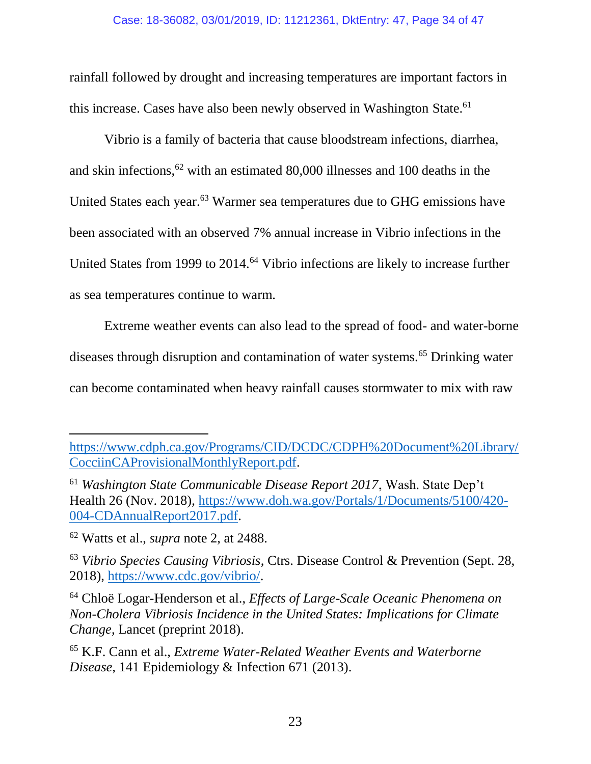rainfall followed by drought and increasing temperatures are important factors in this increase. Cases have also been newly observed in Washington State.<sup>61</sup>

Vibrio is a family of bacteria that cause bloodstream infections, diarrhea, and skin infections,  $62$  with an estimated 80,000 illnesses and 100 deaths in the United States each year.<sup>63</sup> Warmer sea temperatures due to GHG emissions have been associated with an observed 7% annual increase in Vibrio infections in the United States from 1999 to 2014.<sup>64</sup> Vibrio infections are likely to increase further as sea temperatures continue to warm.

Extreme weather events can also lead to the spread of food- and water-borne diseases through disruption and contamination of water systems.<sup>65</sup> Drinking water can become contaminated when heavy rainfall causes stormwater to mix with raw

[https://www.cdph.ca.gov/Programs/CID/DCDC/CDPH%20Document%20Library/](https://www.cdph.ca.gov/Programs/CID/DCDC/CDPH%20Document%20Library/CocciinCAProvisionalMonthlyReport.pdf) [CocciinCAProvisionalMonthlyReport.pdf.](https://www.cdph.ca.gov/Programs/CID/DCDC/CDPH%20Document%20Library/CocciinCAProvisionalMonthlyReport.pdf)

<sup>61</sup> *Washington State Communicable Disease Report 2017*, Wash. State Dep't Health 26 (Nov. 2018), [https://www.doh.wa.gov/Portals/1/Documents/5100/420-](https://www.doh.wa.gov/Portals/1/Documents/5100/420-004-CDAnnualReport2017.pdf) [004-CDAnnualReport2017.pdf.](https://www.doh.wa.gov/Portals/1/Documents/5100/420-004-CDAnnualReport2017.pdf)

<sup>62</sup> Watts et al., *supra* note [2,](#page-18-2) at 2488.

<sup>63</sup> *Vibrio Species Causing Vibriosis*, Ctrs. Disease Control & Prevention (Sept. 28, 2018), [https://www.cdc.gov/vibrio/.](https://www.cdc.gov/vibrio/)

<sup>64</sup> Chloë Logar-Henderson et al., *Effects of Large-Scale Oceanic Phenomena on Non-Cholera Vibriosis Incidence in the United States: Implications for Climate Change*, Lancet (preprint 2018).

<sup>65</sup> K.F. Cann et al., *Extreme Water-Related Weather Events and Waterborne Disease*, 141 Epidemiology & Infection 671 (2013).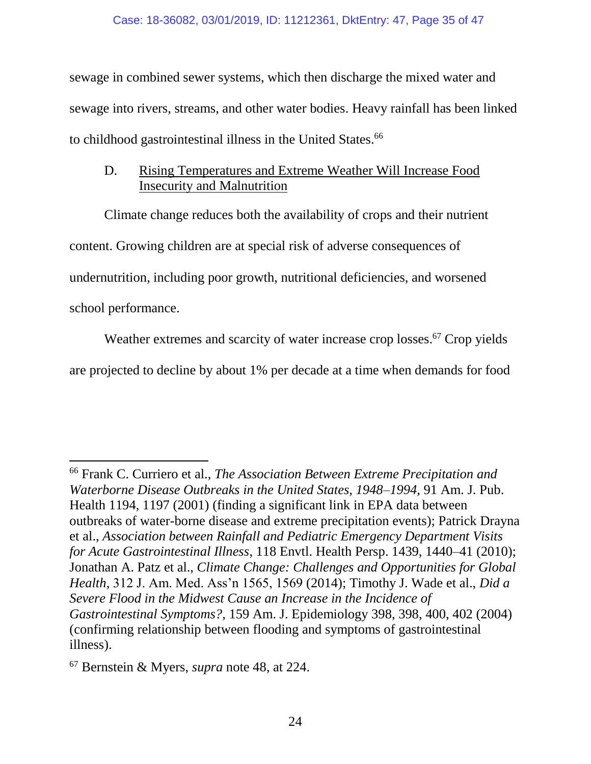sewage in combined sewer systems, which then discharge the mixed water and sewage into rivers, streams, and other water bodies. Heavy rainfall has been linked to childhood gastrointestinal illness in the United States.<sup>66</sup>

## <span id="page-34-1"></span><span id="page-34-0"></span>D. Rising Temperatures and Extreme Weather Will Increase Food Insecurity and Malnutrition

Climate change reduces both the availability of crops and their nutrient content. Growing children are at special risk of adverse consequences of undernutrition, including poor growth, nutritional deficiencies, and worsened school performance.

Weather extremes and scarcity of water increase crop losses.<sup>67</sup> Crop yields are projected to decline by about 1% per decade at a time when demands for food

 $\overline{a}$ 

<sup>66</sup> Frank C. Curriero et al., *The Association Between Extreme Precipitation and Waterborne Disease Outbreaks in the United States, 1948–1994*, 91 Am. J. Pub. Health 1194, 1197 (2001) (finding a significant link in EPA data between outbreaks of water-borne disease and extreme precipitation events); Patrick Drayna et al., *Association between Rainfall and Pediatric Emergency Department Visits for Acute Gastrointestinal Illness*, 118 Envtl. Health Persp. 1439, 1440–41 (2010); Jonathan A. Patz et al., *Climate Change: Challenges and Opportunities for Global Health*, 312 J. Am. Med. Ass'n 1565, 1569 (2014); Timothy J. Wade et al., *Did a Severe Flood in the Midwest Cause an Increase in the Incidence of Gastrointestinal Symptoms?*, 159 Am. J. Epidemiology 398, 398, 400, 402 (2004) (confirming relationship between flooding and symptoms of gastrointestinal illness).

<sup>67</sup> Bernstein & Myers, *supra* note [48,](#page-30-1) at 224.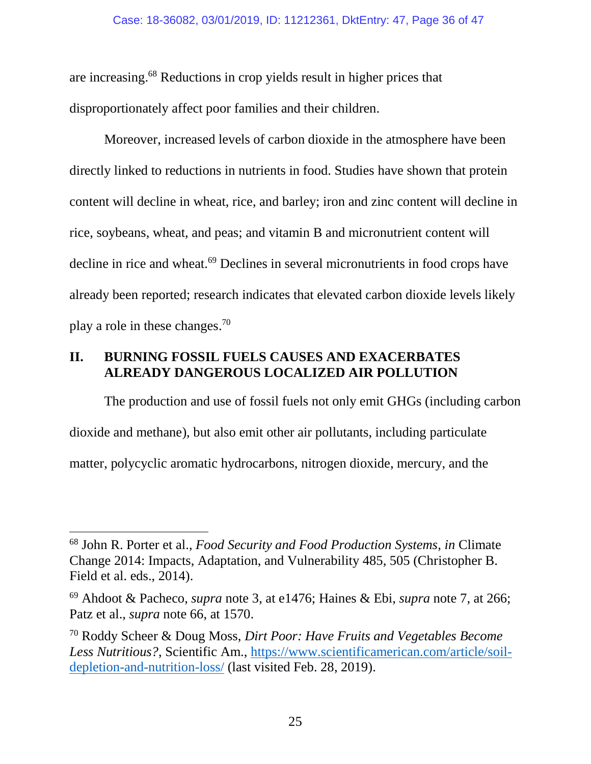are increasing. <sup>68</sup> Reductions in crop yields result in higher prices that disproportionately affect poor families and their children.

Moreover, increased levels of carbon dioxide in the atmosphere have been directly linked to reductions in nutrients in food. Studies have shown that protein content will decline in wheat, rice, and barley; iron and zinc content will decline in rice, soybeans, wheat, and peas; and vitamin B and micronutrient content will decline in rice and wheat.<sup>69</sup> Declines in several micronutrients in food crops have already been reported; research indicates that elevated carbon dioxide levels likely play a role in these changes.<sup>70</sup>

# <span id="page-35-0"></span>**II. BURNING FOSSIL FUELS CAUSES AND EXACERBATES ALREADY DANGEROUS LOCALIZED AIR POLLUTION**

The production and use of fossil fuels not only emit GHGs (including carbon dioxide and methane), but also emit other air pollutants, including particulate matter, polycyclic aromatic hydrocarbons, nitrogen dioxide, mercury, and the

<sup>68</sup> John R. Porter et al., *Food Security and Food Production Systems*, *in* Climate Change 2014: Impacts, Adaptation, and Vulnerability 485, 505 (Christopher B. Field et al. eds., 2014).

<sup>69</sup> Ahdoot & Pacheco, *supra* note [3,](#page-18-1) at e1476; Haines & Ebi, *supra* note [7,](#page-20-1) at 266; Patz et al., *supra* note [66,](#page-34-1) at 1570.

<sup>70</sup> Roddy Scheer & Doug Moss, *Dirt Poor: Have Fruits and Vegetables Become Less Nutritious?*, Scientific Am., [https://www.scientificamerican.com/article/soil](https://www.scientificamerican.com/article/soil-depletion-and-nutrition-loss/)[depletion-and-nutrition-loss/](https://www.scientificamerican.com/article/soil-depletion-and-nutrition-loss/) (last visited Feb. 28, 2019).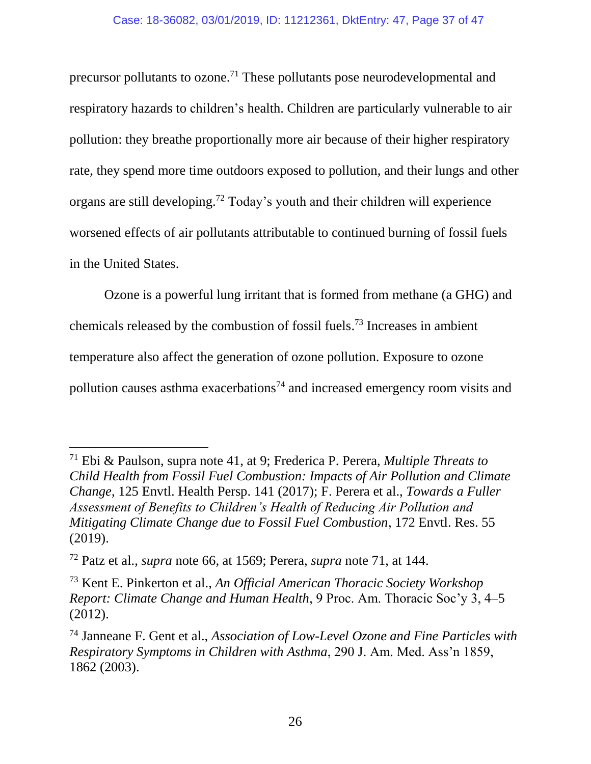<span id="page-36-0"></span>precursor pollutants to ozone.<sup>71</sup> These pollutants pose neurodevelopmental and respiratory hazards to children's health. Children are particularly vulnerable to air pollution: they breathe proportionally more air because of their higher respiratory rate, they spend more time outdoors exposed to pollution, and their lungs and other organs are still developing.<sup>72</sup> Today's youth and their children will experience worsened effects of air pollutants attributable to continued burning of fossil fuels in the United States.

Ozone is a powerful lung irritant that is formed from methane (a GHG) and chemicals released by the combustion of fossil fuels. <sup>73</sup> Increases in ambient temperature also affect the generation of ozone pollution. Exposure to ozone pollution causes asthma exacerbations<sup>74</sup> and increased emergency room visits and

 $\overline{a}$ 

<sup>71</sup> Ebi & Paulson, supra note [41,](#page-28-0) at 9; Frederica P. Perera, *Multiple Threats to Child Health from Fossil Fuel Combustion: Impacts of Air Pollution and Climate Change*, 125 Envtl. Health Persp. 141 (2017); F. Perera et al., *Towards a Fuller Assessment of Benefits to Children's Health of Reducing Air Pollution and Mitigating Climate Change due to Fossil Fuel Combustion*, 172 Envtl. Res. 55 (2019).

<sup>72</sup> Patz et al., *supra* note [66,](#page-34-1) at 1569; Perera, *supra* note [71,](#page-36-0) at 144.

<sup>73</sup> Kent E. Pinkerton et al., *An Official American Thoracic Society Workshop Report: Climate Change and Human Health*, 9 Proc. Am. Thoracic Soc'y 3, 4–5 (2012).

<sup>74</sup> Janneane F. Gent et al., *Association of Low-Level Ozone and Fine Particles with Respiratory Symptoms in Children with Asthma*, 290 J. Am. Med. Ass'n 1859, 1862 (2003).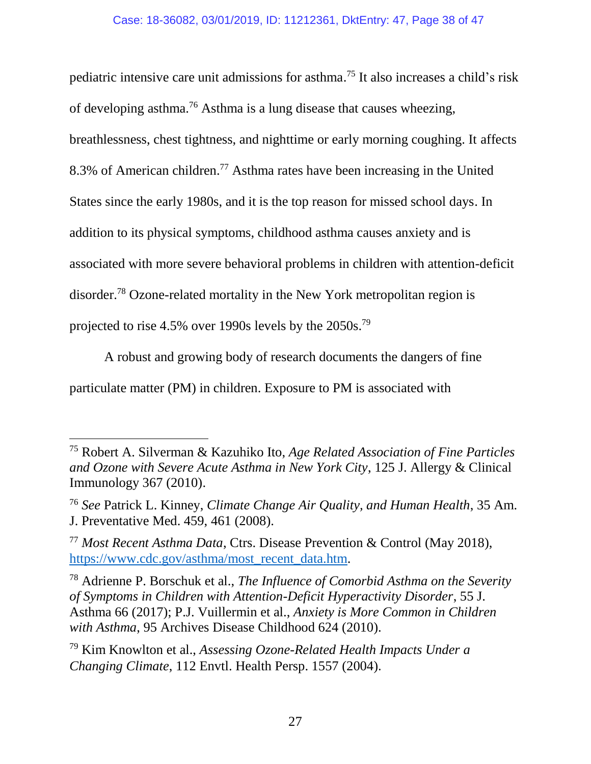<span id="page-37-0"></span>pediatric intensive care unit admissions for asthma. <sup>75</sup> It also increases a child's risk of developing asthma.<sup>76</sup> Asthma is a lung disease that causes wheezing, breathlessness, chest tightness, and nighttime or early morning coughing. It affects 8.3% of American children.<sup>77</sup> Asthma rates have been increasing in the United States since the early 1980s, and it is the top reason for missed school days. In addition to its physical symptoms, childhood asthma causes anxiety and is associated with more severe behavioral problems in children with attention-deficit disorder.<sup>78</sup> Ozone-related mortality in the New York metropolitan region is projected to rise 4.5% over 1990s levels by the 2050s.<sup>79</sup>

A robust and growing body of research documents the dangers of fine particulate matter (PM) in children. Exposure to PM is associated with

 $\overline{a}$ 

<sup>75</sup> Robert A. Silverman & Kazuhiko Ito, *Age Related Association of Fine Particles and Ozone with Severe Acute Asthma in New York City*, 125 J. Allergy & Clinical Immunology 367 (2010).

<sup>76</sup> *See* Patrick L. Kinney, *Climate Change Air Quality, and Human Health*, 35 Am. J. Preventative Med. 459, 461 (2008).

<sup>77</sup> *Most Recent Asthma Data*, Ctrs. Disease Prevention & Control (May 2018), [https://www.cdc.gov/asthma/most\\_recent\\_data.htm.](https://www.cdc.gov/asthma/most_recent_data.htm)

<sup>78</sup> Adrienne P. Borschuk et al., *The Influence of Comorbid Asthma on the Severity of Symptoms in Children with Attention-Deficit Hyperactivity Disorder*, 55 J. Asthma 66 (2017); P.J. Vuillermin et al., *Anxiety is More Common in Children with Asthma*, 95 Archives Disease Childhood 624 (2010).

<sup>79</sup> Kim Knowlton et al., *Assessing Ozone-Related Health Impacts Under a Changing Climate*, 112 Envtl. Health Persp. 1557 (2004).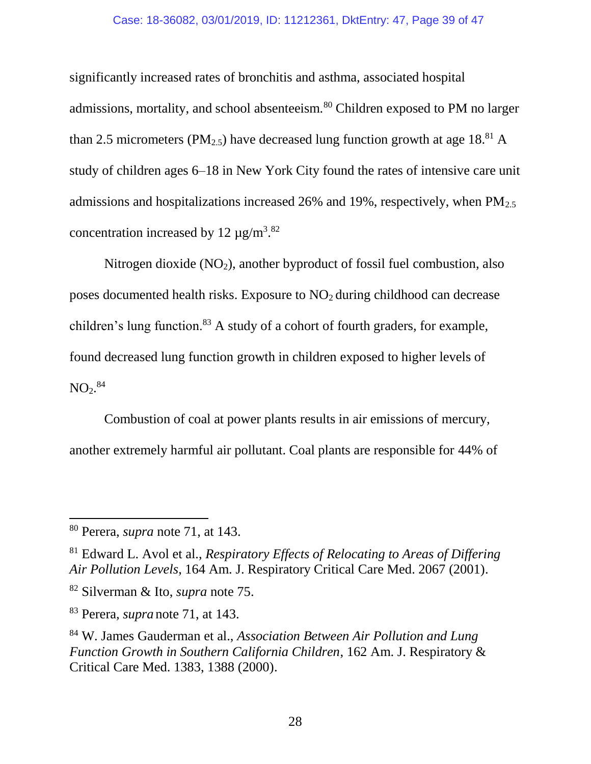#### Case: 18-36082, 03/01/2019, ID: 11212361, DktEntry: 47, Page 39 of 47

significantly increased rates of bronchitis and asthma, associated hospital admissions, mortality, and school absenteeism.<sup>80</sup> Children exposed to PM no larger than 2.5 micrometers (PM<sub>2.5</sub>) have decreased lung function growth at age 18<sup>.81</sup> A study of children ages 6–18 in New York City found the rates of intensive care unit admissions and hospitalizations increased 26% and 19%, respectively, when  $PM_{2.5}$ concentration increased by  $12 \mu g/m^3$ .<sup>82</sup>

Nitrogen dioxide  $(NO<sub>2</sub>)$ , another byproduct of fossil fuel combustion, also poses documented health risks. Exposure to  $NO<sub>2</sub>$  during childhood can decrease children's lung function.<sup>83</sup> A study of a cohort of fourth graders, for example, found decreased lung function growth in children exposed to higher levels of  $\mathrm{NO_2}.^\mathrm{84}$ 

Combustion of coal at power plants results in air emissions of mercury, another extremely harmful air pollutant. Coal plants are responsible for 44% of

<sup>80</sup> Perera, *supra* note [71,](#page-36-0) at 143.

<sup>81</sup> Edward L. Avol et al., *Respiratory Effects of Relocating to Areas of Differing Air Pollution Levels*, 164 Am. J. Respiratory Critical Care Med. 2067 (2001).

<sup>82</sup> Silverman & Ito, *supra* note [75.](#page-37-0)

<sup>83</sup> Perera*, supra* note [71,](#page-36-0) at 143.

<sup>84</sup> W. James Gauderman et al., *Association Between Air Pollution and Lung Function Growth in Southern California Children*, 162 Am. J. Respiratory & Critical Care Med. 1383, 1388 (2000).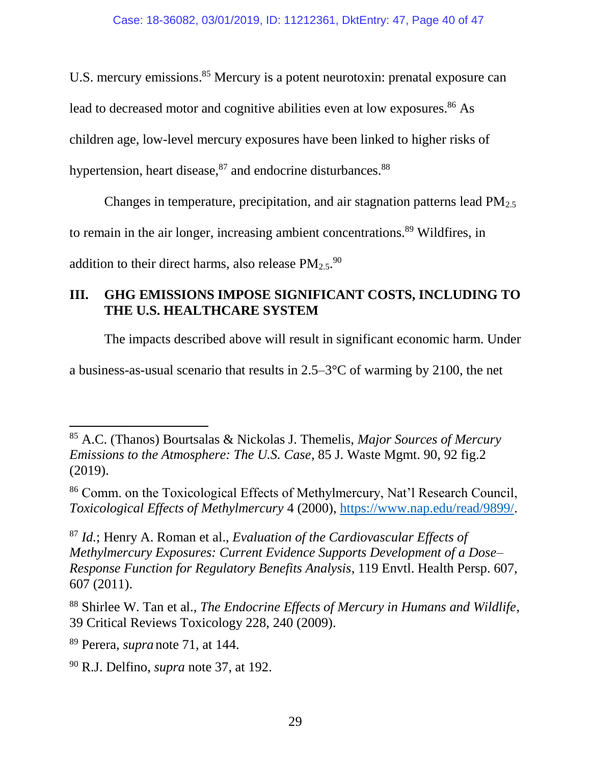U.S. mercury emissions.<sup>85</sup> Mercury is a potent neurotoxin: prenatal exposure can

lead to decreased motor and cognitive abilities even at low exposures.<sup>86</sup> As

children age, low-level mercury exposures have been linked to higher risks of

hypertension, heart disease, $87$  and endocrine disturbances. $88$ 

Changes in temperature, precipitation, and air stagnation patterns lead  $PM_{2.5}$ 

to remain in the air longer, increasing ambient concentrations.<sup>89</sup> Wildfires, in

addition to their direct harms, also release  $PM_{2.5}$ .<sup>90</sup>

# <span id="page-39-0"></span>**III. GHG EMISSIONS IMPOSE SIGNIFICANT COSTS, INCLUDING TO THE U.S. HEALTHCARE SYSTEM**

The impacts described above will result in significant economic harm. Under

a business-as-usual scenario that results in 2.5–3°C of warming by 2100, the net

<sup>87</sup> *Id.*; Henry A. Roman et al., *Evaluation of the Cardiovascular Effects of Methylmercury Exposures: Current Evidence Supports Development of a Dose– Response Function for Regulatory Benefits Analysis*, 119 Envtl. Health Persp. 607, 607 (2011).

<sup>88</sup> Shirlee W. Tan et al., *The Endocrine Effects of Mercury in Humans and Wildlife*, 39 Critical Reviews Toxicology 228, 240 (2009).

<sup>89</sup> Perera*, supra* note [71,](#page-36-0) at 144.

 $\overline{a}$ <sup>85</sup> A.C. (Thanos) Bourtsalas & Nickolas J. Themelis, *Major Sources of Mercury Emissions to the Atmosphere: The U.S. Case*, 85 J. Waste Mgmt. 90, 92 fig.2 (2019).

<sup>86</sup> Comm. on the Toxicological Effects of Methylmercury, Nat'l Research Council, *Toxicological Effects of Methylmercury* 4 (2000), [https://www.nap.edu/read/9899/.](https://www.nap.edu/read/9899/)

<sup>90</sup> R.J. Delfino, *supra* note [37,](#page-27-0) at 192.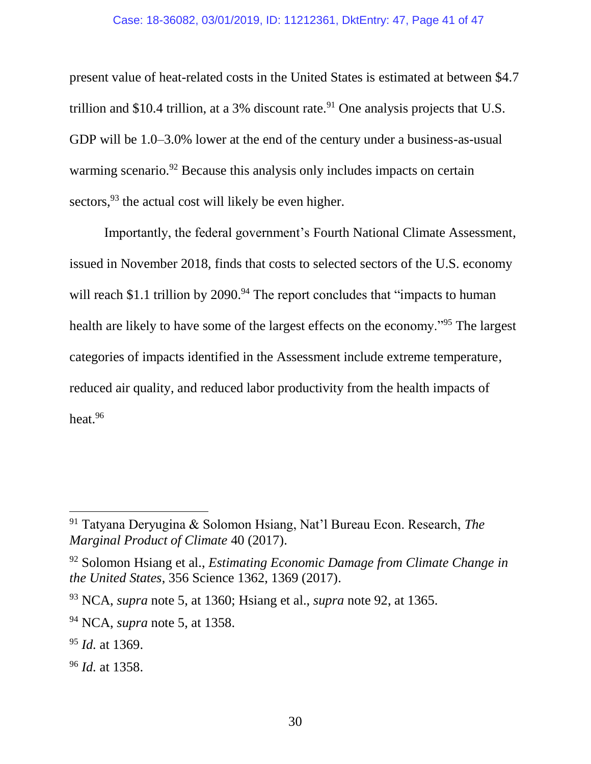#### Case: 18-36082, 03/01/2019, ID: 11212361, DktEntry: 47, Page 41 of 47

present value of heat-related costs in the United States is estimated at between \$4.7 trillion and \$10.4 trillion, at a 3% discount rate.<sup>91</sup> One analysis projects that U.S. GDP will be 1.0–3.0% lower at the end of the century under a business-as-usual warming scenario.<sup>92</sup> Because this analysis only includes impacts on certain sectors,  $93$  the actual cost will likely be even higher.

<span id="page-40-0"></span>Importantly, the federal government's Fourth National Climate Assessment, issued in November 2018, finds that costs to selected sectors of the U.S. economy will reach \$1.1 trillion by  $2090.^{94}$  The report concludes that "impacts to human" health are likely to have some of the largest effects on the economy."<sup>95</sup> The largest categories of impacts identified in the Assessment include extreme temperature, reduced air quality, and reduced labor productivity from the health impacts of heat. 96

<sup>91</sup> Tatyana Deryugina & Solomon Hsiang, Nat'l Bureau Econ. Research, *The Marginal Product of Climate* 40 (2017).

<sup>92</sup> Solomon Hsiang et al., *Estimating Economic Damage from Climate Change in the United States*, 356 Science 1362, 1369 (2017).

<sup>93</sup> NCA, *supra* note [5,](#page-19-2) at 1360; Hsiang et al., *supra* note [92,](#page-40-0) at 1365.

<sup>94</sup> NCA, *supra* note [5,](#page-19-2) at 1358.

<sup>95</sup> *Id.* at 1369.

<sup>96</sup> *Id.* at 1358.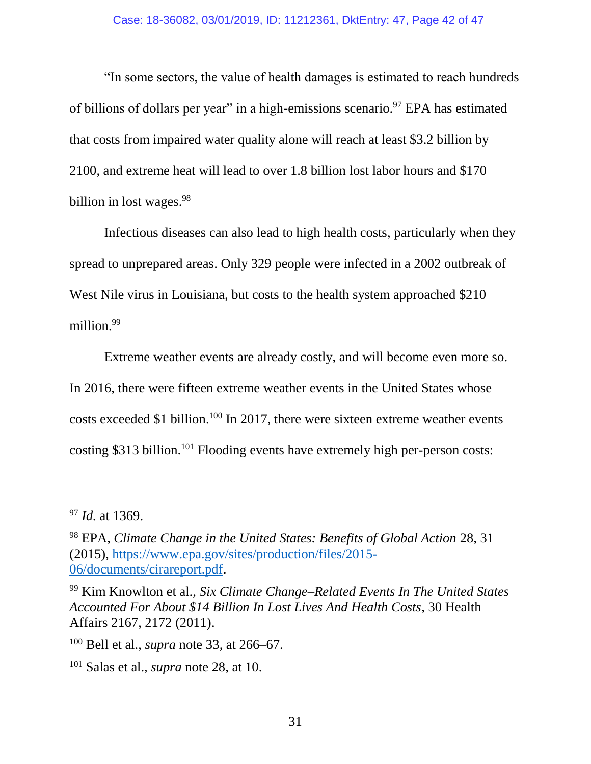"In some sectors, the value of health damages is estimated to reach hundreds of billions of dollars per year" in a high-emissions scenario.<sup>97</sup> EPA has estimated that costs from impaired water quality alone will reach at least \$3.2 billion by 2100, and extreme heat will lead to over 1.8 billion lost labor hours and \$170 billion in lost wages.<sup>98</sup>

Infectious diseases can also lead to high health costs, particularly when they spread to unprepared areas. Only 329 people were infected in a 2002 outbreak of West Nile virus in Louisiana, but costs to the health system approached \$210 million. 99

<span id="page-41-0"></span>Extreme weather events are already costly, and will become even more so. In 2016, there were fifteen extreme weather events in the United States whose costs exceeded \$1 billion. <sup>100</sup> In 2017, there were sixteen extreme weather events costing \$313 billion.<sup>101</sup> Flooding events have extremely high per-person costs:

 $\overline{a}$ 

<sup>97</sup> *Id.* at 1369.

<sup>98</sup> EPA, *Climate Change in the United States: Benefits of Global Action* 28, 31 (2015), [https://www.epa.gov/sites/production/files/2015-](https://www.epa.gov/sites/production/files/2015-06/documents/cirareport.pdf) [06/documents/cirareport.pdf.](https://www.epa.gov/sites/production/files/2015-06/documents/cirareport.pdf)

<sup>99</sup> Kim Knowlton et al., *Six Climate Change–Related Events In The United States Accounted For About \$14 Billion In Lost Lives And Health Costs*, 30 Health Affairs 2167, 2172 (2011).

<sup>100</sup> Bell et al., *supra* note [33,](#page-25-1) at 266–67.

<sup>101</sup> Salas et al., *supra* note [28,](#page-24-0) at 10.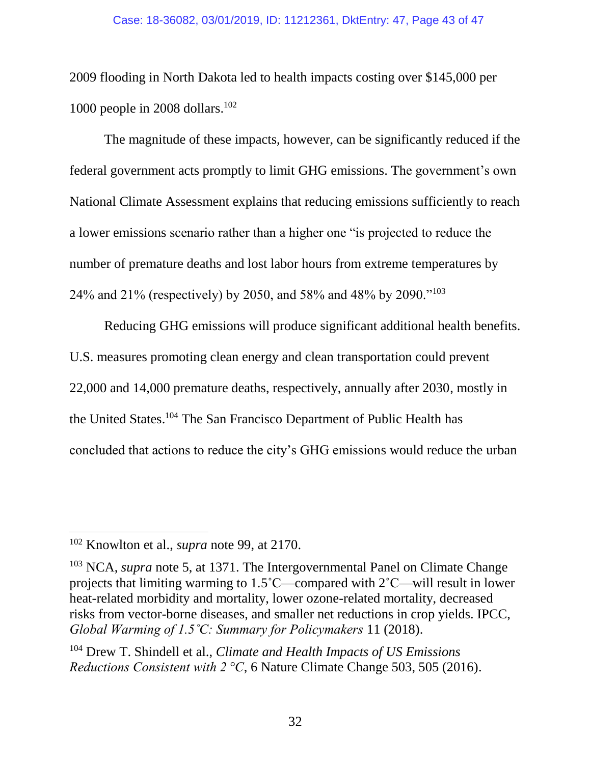#### Case: 18-36082, 03/01/2019, ID: 11212361, DktEntry: 47, Page 43 of 47

2009 flooding in North Dakota led to health impacts costing over \$145,000 per 1000 people in 2008 dollars. $102$ 

The magnitude of these impacts, however, can be significantly reduced if the federal government acts promptly to limit GHG emissions. The government's own National Climate Assessment explains that reducing emissions sufficiently to reach a lower emissions scenario rather than a higher one "is projected to reduce the number of premature deaths and lost labor hours from extreme temperatures by 24% and 21% (respectively) by 2050, and 58% and 48% by 2090."<sup>103</sup>

Reducing GHG emissions will produce significant additional health benefits. U.S. measures promoting clean energy and clean transportation could prevent 22,000 and 14,000 premature deaths, respectively, annually after 2030, mostly in the United States. <sup>104</sup> The San Francisco Department of Public Health has concluded that actions to reduce the city's GHG emissions would reduce the urban

<sup>102</sup> Knowlton et al., *supra* note [99,](#page-41-0) at 2170.

<sup>&</sup>lt;sup>103</sup> NCA, *supra* note [5,](#page-19-2) at 1371. The Intergovernmental Panel on Climate Change projects that limiting warming to 1.5˚C—compared with 2˚C—will result in lower heat-related morbidity and mortality, lower ozone-related mortality, decreased risks from vector-borne diseases, and smaller net reductions in crop yields. IPCC, *Global Warming of 1.5˚C: Summary for Policymakers* 11 (2018).

<sup>104</sup> Drew T. Shindell et al., *Climate and Health Impacts of US Emissions Reductions Consistent with 2<sup>°</sup>C*, 6 Nature Climate Change 503, 505 (2016).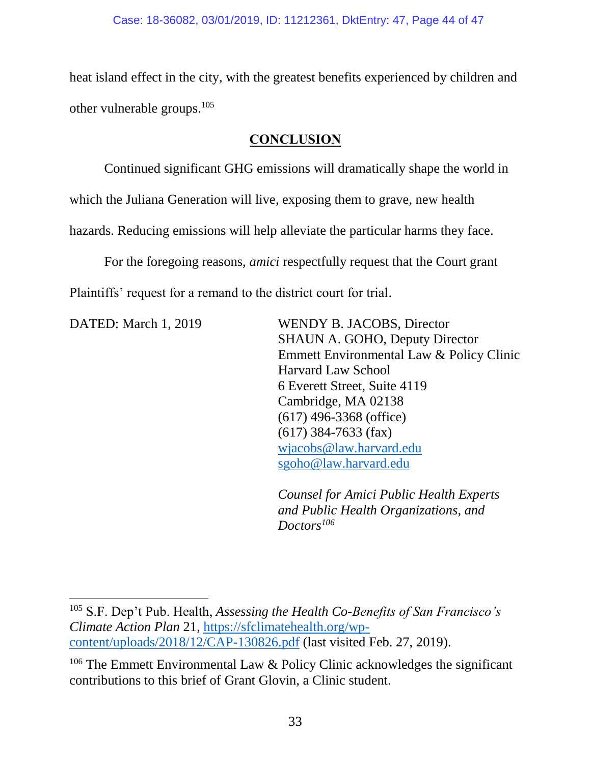heat island effect in the city, with the greatest benefits experienced by children and other vulnerable groups.<sup>105</sup>

## **CONCLUSION**

<span id="page-43-0"></span>Continued significant GHG emissions will dramatically shape the world in

which the Juliana Generation will live, exposing them to grave, new health

hazards. Reducing emissions will help alleviate the particular harms they face.

For the foregoing reasons, *amici* respectfully request that the Court grant Plaintiffs' request for a remand to the district court for trial.

 $\overline{\phantom{a}}$ 

DATED: March 1, 2019 WENDY B. JACOBS, Director SHAUN A. GOHO, Deputy Director Emmett Environmental Law & Policy Clinic Harvard Law School 6 Everett Street, Suite 4119 Cambridge, MA 02138 (617) 496-3368 (office) (617) 384-7633 (fax) [wjacobs@law.harvard.edu](mailto:wjacobs@law.harvard.edu) [sgoho@law.harvard.edu](mailto:sgoho@law.harvard.edu)

> *Counsel for Amici Public Health Experts and Public Health Organizations, and Doctors<sup>106</sup>*

<sup>105</sup> S.F. Dep't Pub. Health, *Assessing the Health Co-Benefits of San Francisco's Climate Action Plan* 21, [https://sfclimatehealth.org/wp](https://sfclimatehealth.org/wp-content/uploads/2018/12/CAP-130826.pdf)[content/uploads/2018/12/CAP-130826.pdf](https://sfclimatehealth.org/wp-content/uploads/2018/12/CAP-130826.pdf) (last visited Feb. 27, 2019).

<sup>&</sup>lt;sup>106</sup> The Emmett Environmental Law & Policy Clinic acknowledges the significant contributions to this brief of Grant Glovin, a Clinic student.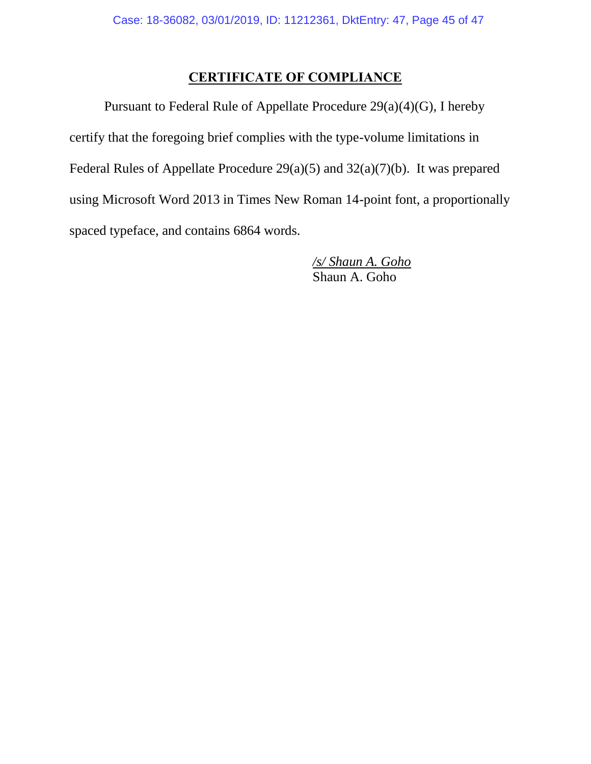## **CERTIFICATE OF COMPLIANCE**

Pursuant to Federal Rule of Appellate Procedure 29(a)(4)(G), I hereby certify that the foregoing brief complies with the type-volume limitations in Federal Rules of Appellate Procedure 29(a)(5) and 32(a)(7)(b). It was prepared using Microsoft Word 2013 in Times New Roman 14-point font, a proportionally spaced typeface, and contains 6864 words.

> */s/ Shaun A. Goho* Shaun A. Goho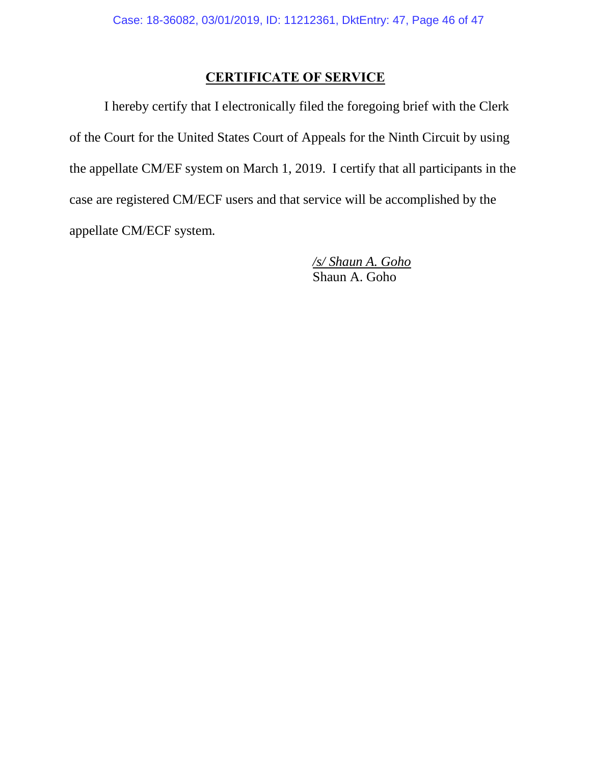## **CERTIFICATE OF SERVICE**

I hereby certify that I electronically filed the foregoing brief with the Clerk of the Court for the United States Court of Appeals for the Ninth Circuit by using the appellate CM/EF system on March 1, 2019. I certify that all participants in the case are registered CM/ECF users and that service will be accomplished by the appellate CM/ECF system.

> */s/ Shaun A. Goho* Shaun A. Goho